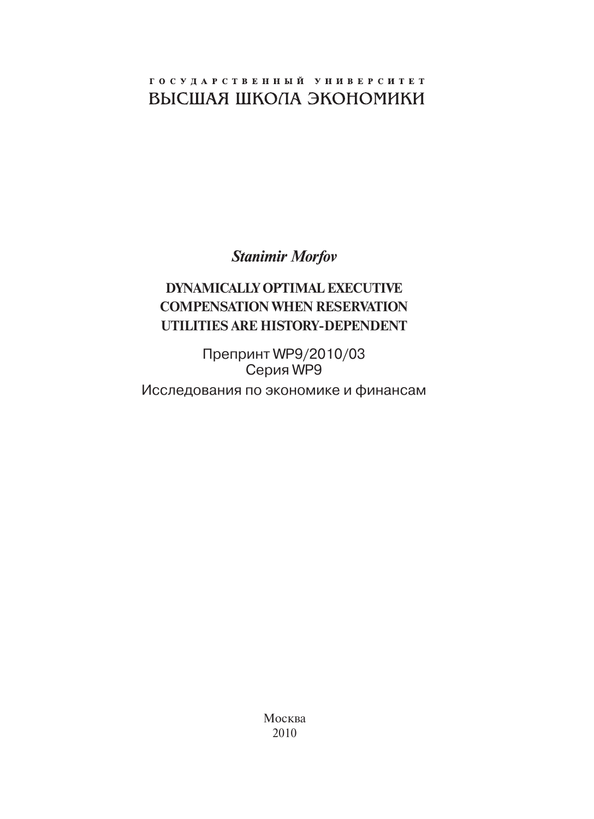## ГОСУДАРСТВЕННЫЙ УНИВЕРСИТЕТ ВЫСШАЯ ШКОЛА ЭКОНОМИКИ

*Stanimir Morfov*

## **Dynamically Optimal Executive Compensation when Reservation Utilities Are History-Dependent**

Препринт WP9/2010/03 Серия WP9

Исследования по экономике и финансам

Москва 2010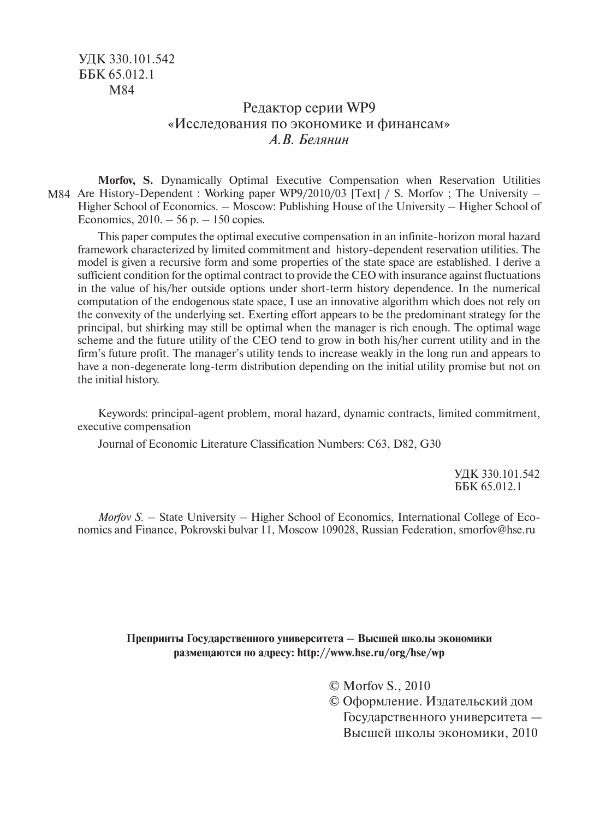### Редактор серии WP9 «Исследования по экономике и финансам» *А.В. Белянин*

M84 Are History-Dependent : Working paper WP9/2010/03 [Text] / S. Morfov ; The University – **Morfov, S.** Dynamically Optimal Executive Compensation when Reservation Utilities Higher School of Economics. – Moscow: Publishing House of the University – Higher School of Economics,  $2010 - 56$  p.  $- 150$  copies.

This paper computes the optimal executive compensation in an infinite-horizon moral hazard framework characterized by limited commitment and history-dependent reservation utilities. The model is given a recursive form and some properties of the state space are established. I derive a sufficient condition for the optimal contract to provide the CEO with insurance against fluctuations in the value of his/her outside options under short-term history dependence. In the numerical computation of the endogenous state space, I use an innovative algorithm which does not rely on the convexity of the underlying set. Exerting effort appears to be the predominant strategy for the principal, but shirking may still be optimal when the manager is rich enough. The optimal wage scheme and the future utility of the CEO tend to grow in both his/her current utility and in the firm's future profit. The manager's utility tends to increase weakly in the long run and appears to have a non-degenerate long-term distribution depending on the initial utility promise but not on the initial history.

Keywords: principal-agent problem, moral hazard, dynamic contracts, limited commitment, executive compensation

Journal of Economic Literature Classification Numbers: C63, D82, G30

УДК 330.101.542 ББК 65.012.1

*Morfov S.* – State University – Higher School of Economics, International College of Economics and Finance, Pokrovski bulvar 11, Moscow 109028, Russian Federation, smorfov@hse.ru

#### **Препринты Государственного университета – Высшей школы экономики размещаются по адресу: http://www.hse.ru/org/hse/wp**

© Morfov S., 2010

© Оформление. Издательский дом Государственного университета — Высшей школы экономики, 2010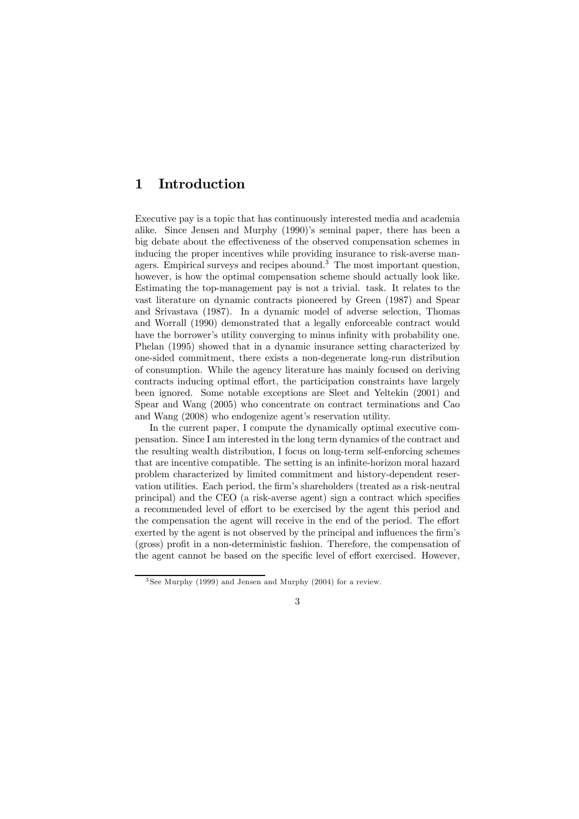# 1 Introduction

Executive pay is a topic that has continuously interested media and academia alike. Since Jensen and Murphy (1990)'s seminal paper, there has been a big debate about the effectiveness of the observed compensation schemes in inducing the proper incentives while providing insurance to risk-averse managers. Empirical surveys and recipes abound.<sup>3</sup> The most important question, however, is how the optimal compensation scheme should actually look like. Estimating the top-management pay is not a trivial. task. It relates to the vast literature on dynamic contracts pioneered by Green (1987) and Spear and Srivastava (1987). In a dynamic model of adverse selection, Thomas and Worrall (1990) demonstrated that a legally enforceable contract would have the borrower's utility converging to minus infinity with probability one. Phelan (1995) showed that in a dynamic insurance setting characterized by one-sided commitment, there exists a non-degenerate long-run distribution of consumption. While the agency literature has mainly focused on deriving contracts inducing optimal effort, the participation constraints have largely been ignored. Some notable exceptions are Sleet and Yeltekin (2001) and Spear and Wang (2005) who concentrate on contract terminations and Cao and Wang (2008) who endogenize agent's reservation utility.

In the current paper, I compute the dynamically optimal executive compensation. Since I am interested in the long term dynamics of the contract and the resulting wealth distribution, I focus on long-term self-enforcing schemes that are incentive compatible. The setting is an infinite-horizon moral hazard problem characterized by limited commitment and history-dependent reservation utilities. Each period, the firm's shareholders (treated as a risk-neutral principal) and the CEO (a risk-averse agent) sign a contract which specifies a recommended level of effort to be exercised by the agent this period and the compensation the agent will receive in the end of the period. The effort exerted by the agent is not observed by the principal and influences the firm's (gross) profit in a non-deterministic fashion. Therefore, the compensation of the agent cannot be based on the specific level of effort exercised. However,

<sup>3</sup> See Murphy (1999) and Jensen and Murphy (2004) for a review.

<sup>3</sup>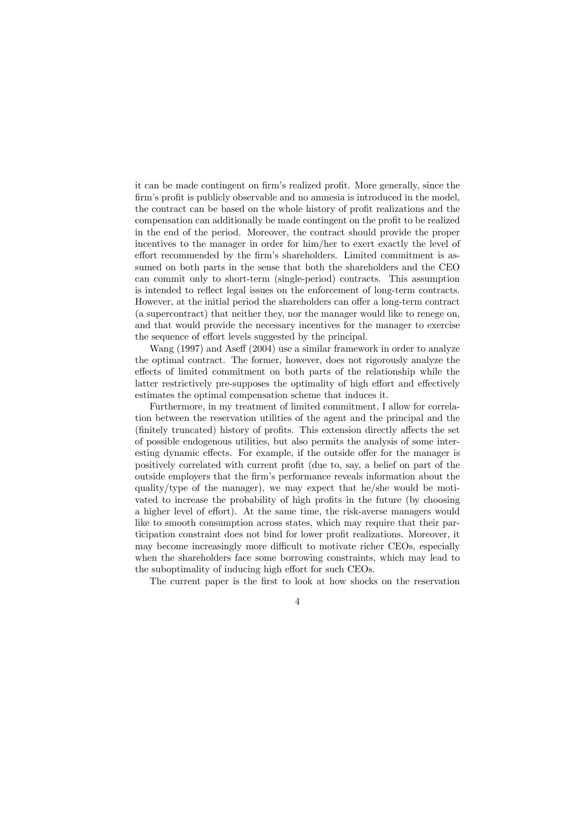it can be made contingent on firm's realized profit. More generally, since the firm's profit is publicly observable and no amnesia is introduced in the model, the contract can be based on the whole history of profit realizations and the compensation can additionally be made contingent on the profit to be realized in the end of the period. Moreover, the contract should provide the proper incentives to the manager in order for him/her to exert exactly the level of effort recommended by the firm's shareholders. Limited commitment is assumed on both parts in the sense that both the shareholders and the CEO can commit only to short-term (single-period) contracts. This assumption is intended to reflect legal issues on the enforcement of long-term contracts. However, at the initial period the shareholders can offer a long-term contract (a supercontract) that neither they, nor the manager would like to renege on, and that would provide the necessary incentives for the manager to exercise the sequence of effort levels suggested by the principal.

Wang (1997) and Aseff (2004) use a similar framework in order to analyze the optimal contract. The former, however, does not rigorously analyze the effects of limited commitment on both parts of the relationship while the latter restrictively pre-supposes the optimality of high effort and effectively estimates the optimal compensation scheme that induces it.

Furthermore, in my treatment of limited commitment, I allow for correlation between the reservation utilities of the agent and the principal and the (finitely truncated) history of profits. This extension directly affects the set of possible endogenous utilities, but also permits the analysis of some interesting dynamic effects. For example, if the outside offer for the manager is positively correlated with current profit (due to, say, a belief on part of the outside employers that the firm's performance reveals information about the quality/type of the manager), we may expect that he/she would be motivated to increase the probability of high profits in the future (by choosing a higher level of effort). At the same time, the risk-averse managers would like to smooth consumption across states, which may require that their participation constraint does not bind for lower profit realizations. Moreover, it may become increasingly more difficult to motivate richer CEOs, especially when the shareholders face some borrowing constraints, which may lead to the suboptimality of inducing high effort for such CEOs.

The current paper is the first to look at how shocks on the reservation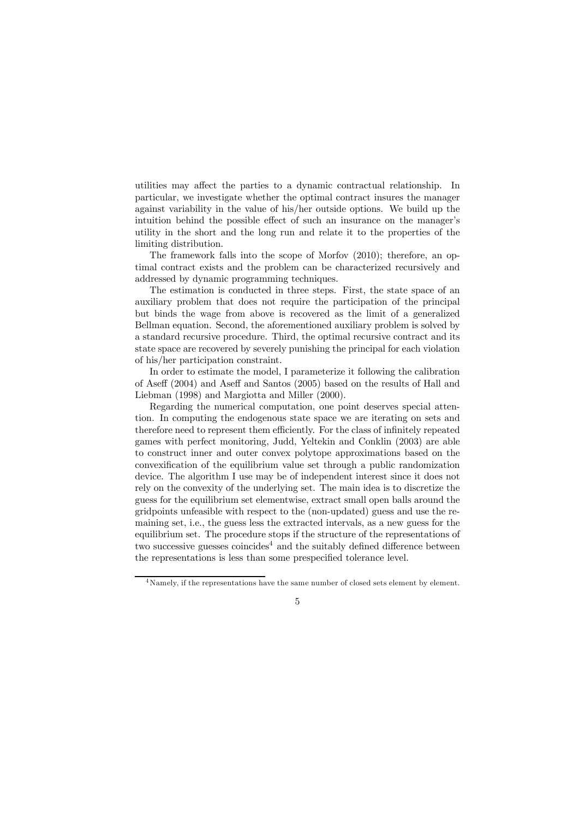utilities may affect the parties to a dynamic contractual relationship. In particular, we investigate whether the optimal contract insures the manager against variability in the value of his/her outside options. We build up the intuition behind the possible effect of such an insurance on the manager's utility in the short and the long run and relate it to the properties of the limiting distribution.

The framework falls into the scope of Morfov (2010); therefore, an optimal contract exists and the problem can be characterized recursively and addressed by dynamic programming techniques.

The estimation is conducted in three steps. First, the state space of an auxiliary problem that does not require the participation of the principal but binds the wage from above is recovered as the limit of a generalized Bellman equation. Second, the aforementioned auxiliary problem is solved by a standard recursive procedure. Third, the optimal recursive contract and its state space are recovered by severely punishing the principal for each violation of his/her participation constraint.

In order to estimate the model, I parameterize it following the calibration of Aseff (2004) and Aseff and Santos (2005) based on the results of Hall and Liebman (1998) and Margiotta and Miller (2000).

Regarding the numerical computation, one point deserves special attention. In computing the endogenous state space we are iterating on sets and therefore need to represent them efficiently. For the class of infinitely repeated games with perfect monitoring, Judd, Yeltekin and Conklin (2003) are able to construct inner and outer convex polytope approximations based on the convexification of the equilibrium value set through a public randomization device. The algorithm I use may be of independent interest since it does not rely on the convexity of the underlying set. The main idea is to discretize the guess for the equilibrium set elementwise, extract small open balls around the gridpoints unfeasible with respect to the (non-updated) guess and use the remaining set, i.e., the guess less the extracted intervals, as a new guess for the equilibrium set. The procedure stops if the structure of the representations of two successive guesses coincides<sup>4</sup> and the suitably defined difference between the representations is less than some prespecified tolerance level.

<sup>&</sup>lt;sup>4</sup>Namely, if the representations have the same number of closed sets element by element.

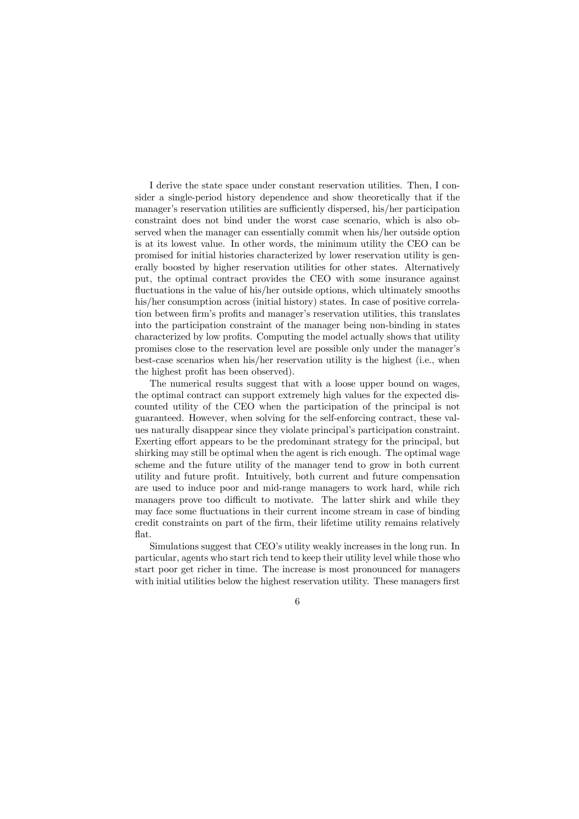I derive the state space under constant reservation utilities. Then, I consider a single-period history dependence and show theoretically that if the manager's reservation utilities are sufficiently dispersed, his/her participation constraint does not bind under the worst case scenario, which is also observed when the manager can essentially commit when his/her outside option is at its lowest value. In other words, the minimum utility the CEO can be promised for initial histories characterized by lower reservation utility is generally boosted by higher reservation utilities for other states. Alternatively put, the optimal contract provides the CEO with some insurance against fluctuations in the value of his/her outside options, which ultimately smooths his/her consumption across (initial history) states. In case of positive correlation between firm's profits and manager's reservation utilities, this translates into the participation constraint of the manager being non-binding in states characterized by low profits. Computing the model actually shows that utility promises close to the reservation level are possible only under the manager's best-case scenarios when his/her reservation utility is the highest (i.e., when the highest profit has been observed).

The numerical results suggest that with a loose upper bound on wages, the optimal contract can support extremely high values for the expected discounted utility of the CEO when the participation of the principal is not guaranteed. However, when solving for the self-enforcing contract, these values naturally disappear since they violate principal's participation constraint. Exerting effort appears to be the predominant strategy for the principal, but shirking may still be optimal when the agent is rich enough. The optimal wage scheme and the future utility of the manager tend to grow in both current utility and future profit. Intuitively, both current and future compensation are used to induce poor and mid-range managers to work hard, while rich managers prove too difficult to motivate. The latter shirk and while they may face some fluctuations in their current income stream in case of binding credit constraints on part of the firm, their lifetime utility remains relatively flat.

Simulations suggest that CEO's utility weakly increases in the long run. In particular, agents who start rich tend to keep their utility level while those who start poor get richer in time. The increase is most pronounced for managers with initial utilities below the highest reservation utility. These managers first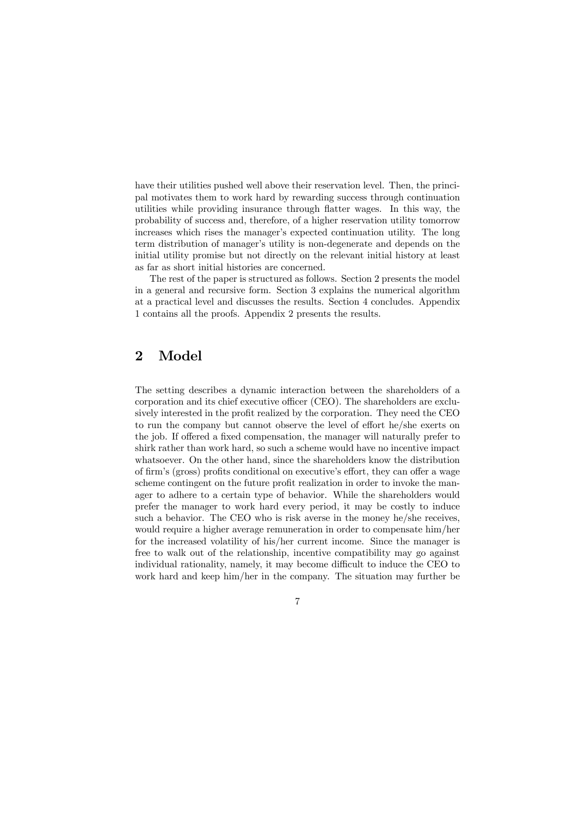have their utilities pushed well above their reservation level. Then, the principal motivates them to work hard by rewarding success through continuation utilities while providing insurance through flatter wages. In this way, the probability of success and, therefore, of a higher reservation utility tomorrow increases which rises the manager's expected continuation utility. The long term distribution of manager's utility is non-degenerate and depends on the initial utility promise but not directly on the relevant initial history at least as far as short initial histories are concerned.

The rest of the paper is structured as follows. Section 2 presents the model in a general and recursive form. Section 3 explains the numerical algorithm at a practical level and discusses the results. Section 4 concludes. Appendix 1 contains all the proofs. Appendix 2 presents the results.

# 2 Model

The setting describes a dynamic interaction between the shareholders of a corporation and its chief executive officer (CEO). The shareholders are exclusively interested in the profit realized by the corporation. They need the CEO to run the company but cannot observe the level of effort he/she exerts on the job. If offered a fixed compensation, the manager will naturally prefer to shirk rather than work hard, so such a scheme would have no incentive impact whatsoever. On the other hand, since the shareholders know the distribution of firm's (gross) profits conditional on executive's effort, they can offer a wage scheme contingent on the future profit realization in order to invoke the manager to adhere to a certain type of behavior. While the shareholders would prefer the manager to work hard every period, it may be costly to induce such a behavior. The CEO who is risk averse in the money he/she receives, would require a higher average remuneration in order to compensate him/her for the increased volatility of his/her current income. Since the manager is free to walk out of the relationship, incentive compatibility may go against individual rationality, namely, it may become difficult to induce the CEO to work hard and keep him/her in the company. The situation may further be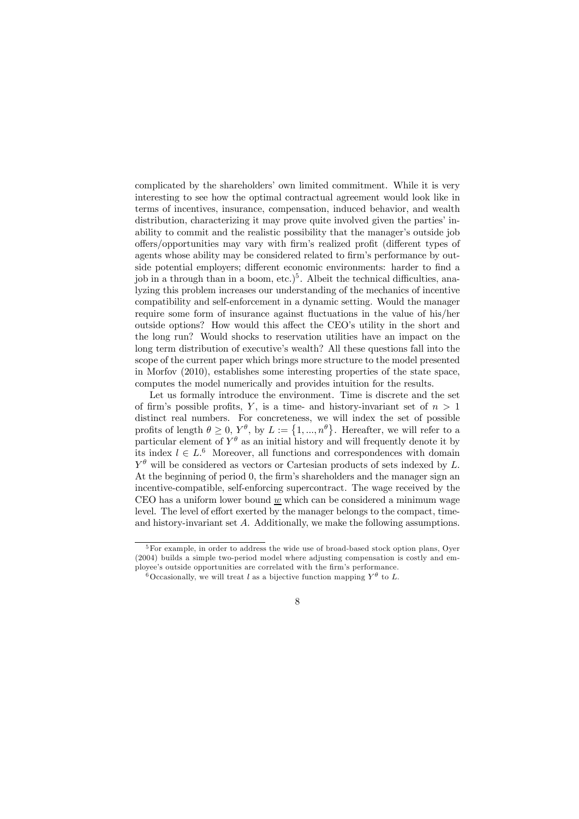complicated by the shareholders' own limited commitment. While it is very interesting to see how the optimal contractual agreement would look like in terms of incentives, insurance, compensation, induced behavior, and wealth distribution, characterizing it may prove quite involved given the parties' inability to commit and the realistic possibility that the manager's outside job offers/opportunities may vary with firm's realized profit (different types of agents whose ability may be considered related to firm's performance by outside potential employers; different economic environments: harder to find a job in a through than in a boom,  $etc.$ <sup>5</sup>. Albeit the technical difficulties, analyzing this problem increases our understanding of the mechanics of incentive compatibility and self-enforcement in a dynamic setting. Would the manager require some form of insurance against fluctuations in the value of his/her outside options? How would this affect the CEO's utility in the short and the long run? Would shocks to reservation utilities have an impact on the long term distribution of executive's wealth? All these questions fall into the scope of the current paper which brings more structure to the model presented in Morfov (2010), establishes some interesting properties of the state space, computes the model numerically and provides intuition for the results.

Let us formally introduce the environment. Time is discrete and the set of firm's possible profits, Y, is a time- and history-invariant set of  $n > 1$ distinct real numbers. For concreteness, we will index the set of possible profits of length  $\theta \geq 0, Y^{\theta}$ , by  $L := \{1, ..., n^{\theta}\}$ . Hereafter, we will refer to a particular element of  $Y^{\theta}$  as an initial history and will frequently denote it by its index  $l \in L^6$  Moreover, all functions and correspondences with domain  $Y^{\theta}$  will be considered as vectors or Cartesian products of sets indexed by L. At the beginning of period 0, the firm's shareholders and the manager sign an incentive-compatible, self-enforcing supercontract. The wage received by the CEO has a uniform lower bound  $w$  which can be considered a minimum wage level. The level of effort exerted by the manager belongs to the compact, timeand history-invariant set A. Additionally, we make the following assumptions.

<sup>&</sup>lt;sup>5</sup>For example, in order to address the wide use of broad-based stock option plans, Oyer (2004) builds a simple two-period model where adjusting compensation is costly and employee's outside opportunities are correlated with the firm's performance.

<sup>&</sup>lt;sup>6</sup>Occasionally, we will treat l as a bijective function mapping  $Y^{\theta}$  to L.

<sup>8</sup>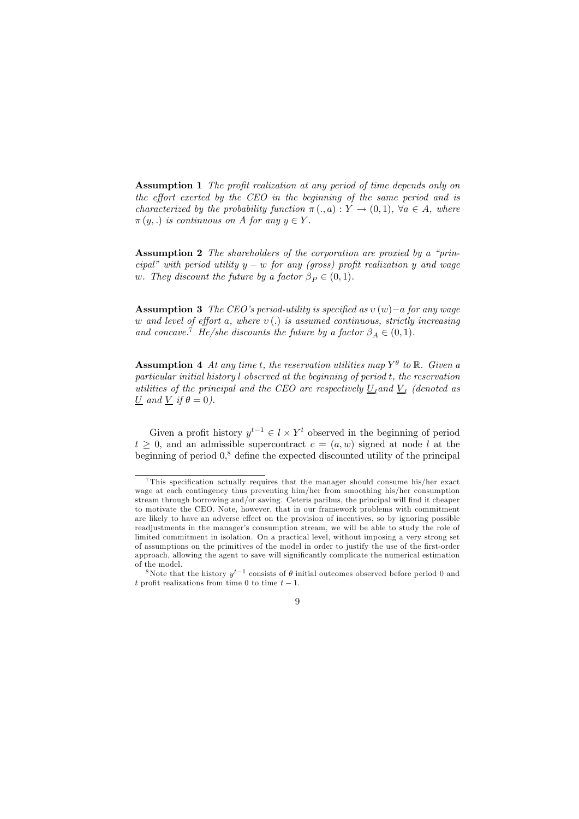Assumption 1 The profit realization at any period of time depends only on the effort exerted by the CEO in the beginning of the same period and is characterized by the probability function  $\pi(.a): Y \to (0,1)$ ,  $\forall a \in A$ , where  $\pi(y,.)$  is continuous on A for any  $y \in Y$ .

Assumption 2 The shareholders of the corporation are proxied by a "principal" with period utility  $y - w$  for any (gross) profit realization y and wage w. They discount the future by a factor  $\beta_P \in (0, 1)$ .

Assumption 3 The CEO's period-utility is specified as  $v(w)$ −a for any wage w and level of effort a, where  $v(.)$  is assumed continuous, strictly increasing and concave.<sup>7</sup> He/she discounts the future by a factor  $\beta_A \in (0,1)$ .

**Assumption 4** At any time t, the reservation utilities map  $Y^{\theta}$  to  $\mathbb{R}$ . Given a particular initial history l observed at the beginning of period t, the reservation utilities of the principal and the CEO are respectively  $U_1$  and  $V_1$  (denoted as U and V if  $\theta = 0$ ).

Given a profit history  $y^{t-1} \in l \times Y^t$  observed in the beginning of period  $t > 0$ , and an admissible supercontract  $c = (a, w)$  signed at node l at the beginning of period  $0<sup>8</sup>$  define the expected discounted utility of the principal

<sup>&</sup>lt;sup>8</sup>Note that the history  $u^{t-1}$  consists of  $\theta$  initial outcomes observed before period 0 and t profit realizations from time 0 to time  $t-1$ .



<sup>7</sup>This specification actually requires that the manager should consume his/her exact wage at each contingency thus preventing him/her from smoothing his/her consumption stream through borrowing and/or saving. Ceteris paribus, the principal will find it cheaper to motivate the CEO. Note, however, that in our framework problems with commitment are likely to have an adverse effect on the provision of incentives, so by ignoring possible readjustments in the manager's consumption stream, we will be able to study the role of limited commitment in isolation. On a practical level, without imposing a very strong set of assumptions on the primitives of the model in order to justify the use of the first-order approach, allowing the agent to save will significantly complicate the numerical estimation of the model.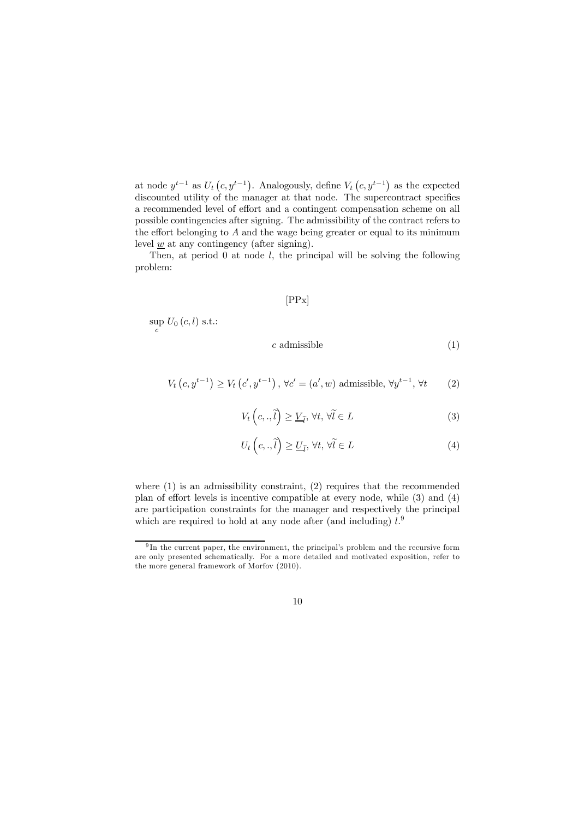at node  $y^{t-1}$  as  $U_t(c, y^{t-1})$ . Analogously, define  $V_t(c, y^{t-1})$  as the expected discounted utility of the manager at that node. The supercontract specifies a recommended level of effort and a contingent compensation scheme on all possible contingencies after signing. The admissibility of the contract refers to the effort belonging to  $A$  and the wage being greater or equal to its minimum level  $\underline{w}$  at any contingency (after signing).

Then, at period  $\theta$  at node  $l$ , the principal will be solving the following problem:

#### [PPx]

 $\sup_c U_0(c,l)$  s.t.:

 $c$  admissible  $(1)$ 

$$
V_t\left(c, y^{t-1}\right) \ge V_t\left(c', y^{t-1}\right), \forall c' = (a', w) \text{ admissible}, \forall y^{t-1}, \forall t \qquad (2)
$$

$$
V_t\left(c,.,\tilde{l}\right) \ge \underline{V}_{\tilde{l}}, \forall t, \forall \tilde{l} \in L
$$
\n(3)

$$
U_t\left(c,.,\tilde{l}\right) \ge \underline{U}_{\tilde{l}}, \forall t, \forall \tilde{l} \in L
$$
\n
$$
(4)
$$

where (1) is an admissibility constraint, (2) requires that the recommended plan of effort levels is incentive compatible at every node, while (3) and (4) are participation constraints for the manager and respectively the principal which are required to hold at any node after (and including)  $l$ .<sup>9</sup>

<sup>&</sup>lt;sup>9</sup>In the current paper, the environment, the principal's problem and the recursive form are only presented schematically. For a more detailed and motivated exposition, refer to the more general framework of Morfov (2010).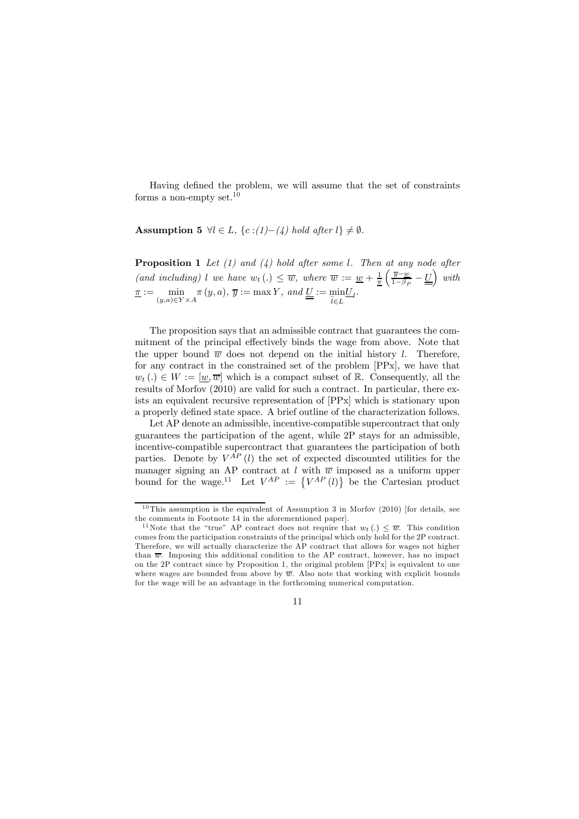Having defined the problem, we will assume that the set of constraints forms a non-empty set.<sup>10</sup>

Assumption 5  $\forall l \in L$ ,  $\{c:(1)-(4) \text{ hold after } l\} \neq \emptyset$ .

**Proposition 1** Let  $(1)$  and  $(4)$  hold after some l. Then at any node after (and including) l we have  $w_t(.) \leq \overline{w}$ , where  $\overline{w} := \underline{w} + \frac{1}{\pi} \left( \frac{\overline{y} - \underline{w}}{1 - \beta_t} \right)$  $\frac{\overline{y} - w}{1 - \beta_P} - \underline{U}$  with  $\overline{\pi} := \min$  $(y,a) \in Y \times A$  $\pi(y, a), \overline{y} := \max Y, \text{ and } \underline{U} := \min$  $l \in L$  $\underline{U}_l.$ 

The proposition says that an admissible contract that guarantees the commitment of the principal effectively binds the wage from above. Note that the upper bound  $\overline{w}$  does not depend on the initial history l. Therefore, for any contract in the constrained set of the problem [PPx], we have that  $w_t(.) \in W := [\underline{w}, \overline{w}]$  which is a compact subset of  $\mathbb{R}$ . Consequently, all the results of Morfov (2010) are valid for such a contract. In particular, there exists an equivalent recursive representation of [PPx] which is stationary upon a properly defined state space. A brief outline of the characterization follows.

Let AP denote an admissible, incentive-compatible supercontract that only guarantees the participation of the agent, while 2P stays for an admissible, incentive-compatible supercontract that guarantees the participation of both parties. Denote by  $V^{AP}$  (l) the set of expected discounted utilities for the manager signing an AP contract at l with  $\overline{w}$  imposed as a uniform upper bound for the wage.<sup>11</sup> Let  $V^{AP} := \{V^{AP}(l)\}\$ be the Cartesian product

 $10$ This assumption is the equivalent of Assumption 3 in Morfov (2010) [for details, see the comments in Footnote 14 in the aforementioned paper].

<sup>&</sup>lt;sup>11</sup>Note that the "true" AP contract does not require that  $w_t(.) \leq \overline{w}$ . This condition comes from the participation constraints of the principal which only hold for the 2P contract. Therefore, we will actually characterize the AP contract that allows for wages not higher than  $\overline{w}$ . Imposing this additional condition to the AP contract, however, has no impact on the 2P contract since by Proposition 1, the original problem [PPx] is equivalent to one where wages are bounded from above by  $\overline{w}$ . Also note that working with explicit bounds for the wage will be an advantage in the forthcoming numerical computation.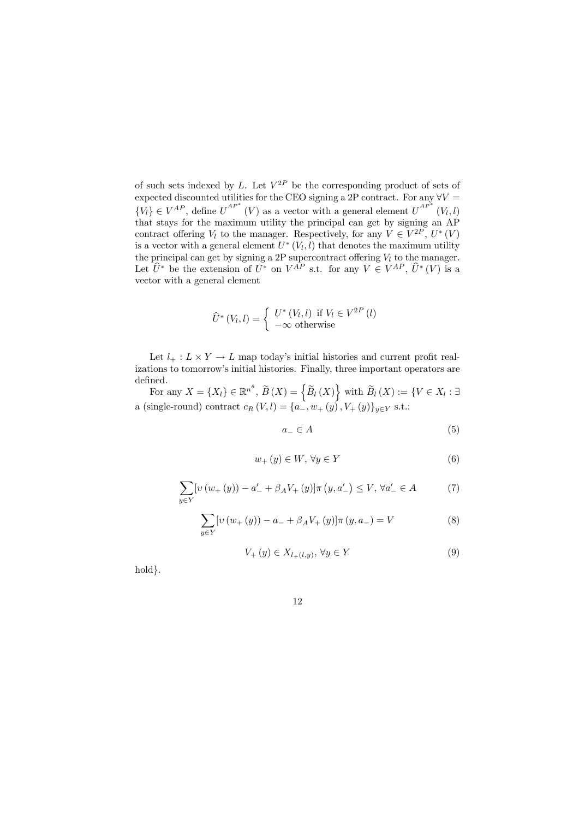of such sets indexed by L. Let  $V^{2P}$  be the corresponding product of sets of expected discounted utilities for the CEO signing a 2P contract. For any  $\forall V =$  ${V_l} \in V^{AP}$ , define  $U^{AP*}(V)$  as a vector with a general element  $U^{AP*}(V_l, l)$ that stays for the maximum utility the principal can get by signing an AP contract offering  $V_l$  to the manager. Respectively, for any  $V \in V^{2P}$ ,  $U^*(V)$ is a vector with a general element  $U^*(V_l, l)$  that denotes the maximum utility the principal can get by signing a 2P supercontract offering  $V_l$  to the manager. Let  $\hat{U}^*$  be the extension of  $U^*$  on  $V^{AP}$  s.t. for any  $V \in V^{AP}$ ,  $\hat{U}^*(V)$  is a vector with a general element

$$
\widehat{U}^*(V_l, l) = \begin{cases} U^*(V_l, l) & \text{if } V_l \in V^{2P}(l) \\ -\infty & \text{otherwise} \end{cases}
$$

Let  $l_+ : L \times Y \to L$  map today's initial histories and current profit realizations to tomorrow's initial histories. Finally, three important operators are defined.

For any  $X = \{X_l\} \in \mathbb{R}^{n^{\theta}}, \ \widetilde{B}\left(X\right) = \left\{\widetilde{B}_l\left(X\right)\right\}$  with  $\widetilde{B}_l\left(X\right) := \left\{V \in X_l : \exists \widetilde{B}_l\left(X\right) = \widetilde{B}_l\left(X_l\right) \right\}$ a (single-round) contract  $c_R(V, l) = {a_-, w_+(y), V_+(y)}_{y \in Y}$  s.t.:

$$
a_{-} \in A \tag{5}
$$

$$
w_{+}\left(y\right)\in W,\,\forall y\in Y\tag{6}
$$

$$
\sum_{y \in Y} [v (w_+(y)) - a_-' + \beta_A V_+(y)] \pi (y, a_-') \le V, \forall a_-' \in A
$$
 (7)

$$
\sum_{y \in Y} [v (w_+(y)) - a_- + \beta_A V_+(y)] \pi (y, a_-) = V
$$
 (8)

$$
V_{+}\left(y\right) \in X_{l_{+}\left(l,y\right)}, \,\forall y \in Y\tag{9}
$$

hold }.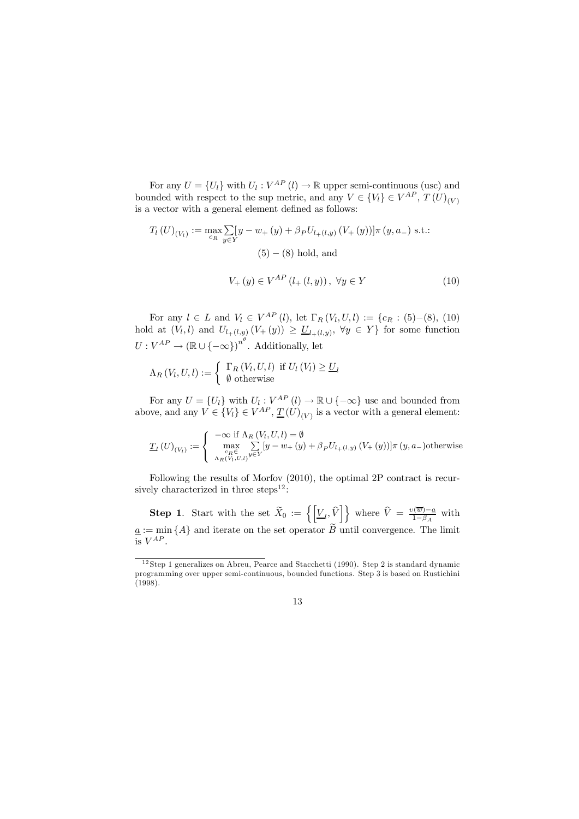For any  $U = \{U_l\}$  with  $U_l : V^{AP}(l) \to \mathbb{R}$  upper semi-continuous (usc) and bounded with respect to the sup metric, and any  $V \in \{V_i\} \in V^{AP}, T(U)_{(V)}$ is a vector with a general element defined as follows:

$$
T_{l}(U)_{(V_{l})} := \max_{c_{R}} \sum_{y \in Y} [y - w_{+}(y) + \beta_{P} U_{l+(l,y)} (V_{+}(y))] \pi (y, a_{-}) \text{ s.t.:}
$$
  
(5) – (8) hold, and  

$$
V_{+}(y) \in V^{AP}(l_{+}(l,y)), \ \forall y \in Y
$$
 (10)

For any  $l \in L$  and  $V_l \in V^{AP}(l)$ , let  $\Gamma_R(V_l, U, l) := \{c_R : (5) - (8), (10)$ hold at  $(V_l, l)$  and  $U_{l+(l,y)}(V+(y)) \geq \underline{U}_{l+(l,y)}, \forall y \in Y$  for some function  $U: V^{AP} \to (\mathbb{R} \cup \{-\infty\})^{n^{\theta}}$ . Additionally, let

$$
\Lambda_R(V_l, U, l) := \begin{cases} \Gamma_R(V_l, U, l) & \text{if } U_l(V_l) \geq \underline{U}_l \\ \emptyset & \text{otherwise} \end{cases}
$$

For any  $U = \{U_l\}$  with  $U_l : V^{AP}(l) \to \mathbb{R} \cup \{-\infty\}$  usc and bounded from above, and any  $V \in \{V_l\} \in V^{AP}, \underline{T}(U)_{(V)}$  is a vector with a general element:

$$
\underline{T}_{l}\left(U\right)_{\left(V_{l}\right)}:=\left\{\begin{array}{l} -\infty\text{ if }\Lambda_{R}\left(V_{l},U,l\right)=\emptyset \\ \max _{\substack{c_{R}\in \\ \Lambda_{R}\left(V_{l},U,l\right)}}\sum_{y\in Y}\left[y-w_{+}\left(y\right)+\beta_{P}U_{l_{+}\left(l,y\right)}\left(V_{+}\left(y\right)\right)\right]\pi\left(y,a_{-}\right) \text{otherwise} \end{array}\right.
$$

Following the results of Morfov (2010), the optimal 2P contract is recursively characterized in three steps<sup>12</sup>:

**Step 1.** Start with the set  $\widetilde{X}_0 := \left\{ \left[ \underline{V}_l, \widehat{V} \right] \right\}$  where  $\widehat{V} = \frac{\upsilon(\overline{w}) - a}{1 - \beta_A}$  with  $\underline{a} := \min \{A\}$  and iterate on the set operator B until convergence. The limit is  $V^{AP}$ .

 $12$ Step 1 generalizes on Abreu, Pearce and Stacchetti (1990). Step 2 is standard dynamic programming over upper semi-continuous, bounded functions. Step 3 is based on Rustichini (1998).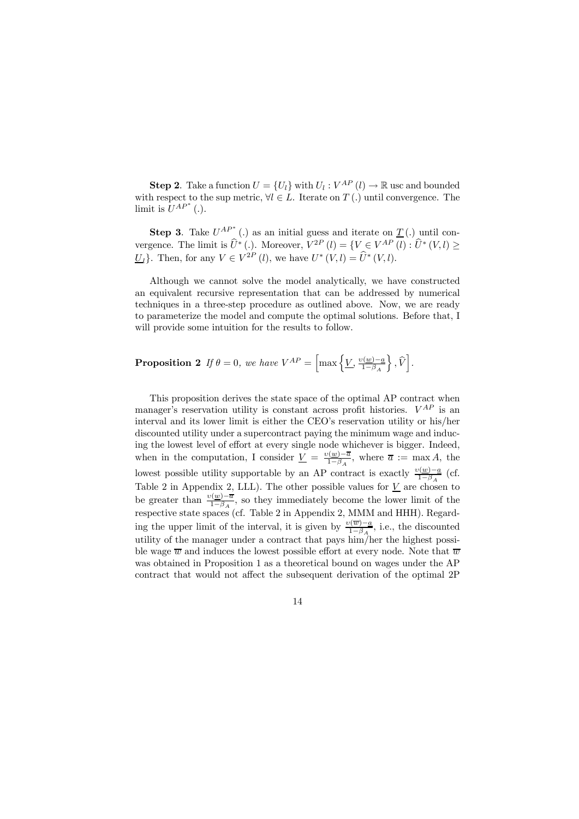**Step 2**. Take a function  $U = \{U_l\}$  with  $U_l : V^{AP}(l) \to \mathbb{R}$  usc and bounded with respect to the sup metric,  $\forall l \in L$ . Iterate on  $T(.)$  until convergence. The limit is  $U^{AP^*}$  (.).

**Step 3**. Take  $U^{AP*}$  (.) as an initial guess and iterate on  $\underline{T}$  (.) until convergence. The limit is  $\hat{U}^*$  (.). Moreover,  $V^{2P}(l) = \{V \in V^{AP}(l) : \hat{U}^*(V,l) \geq$ U<sub>l</sub>}. Then, for any  $V \in V^{2P}(l)$ , we have  $U^*(V,l) = \hat{U}^*(V,l)$ .

Although we cannot solve the model analytically, we have constructed an equivalent recursive representation that can be addressed by numerical techniques in a three-step procedure as outlined above. Now, we are ready to parameterize the model and compute the optimal solutions. Before that, I will provide some intuition for the results to follow.

**Proposition 2** If 
$$
\theta = 0
$$
, we have  $V^{AP} = \left[\max\left\{\underline{V}, \frac{v(\underline{w}) - \underline{a}}{1 - \beta_A}\right\}, \widehat{V}\right]$ .

This proposition derives the state space of the optimal AP contract when manager's reservation utility is constant across profit histories.  $V^{AP}$  is an interval and its lower limit is either the CEO's reservation utility or his/her discounted utility under a supercontract paying the minimum wage and inducing the lowest level of effort at every single node whichever is bigger. Indeed, when in the computation, I consider  $\underline{V} = \frac{v(\underline{w}) - \overline{a}}{1 - \beta_A}$ , where  $\overline{a} := \max A$ , the lowest possible utility supportable by an AP contract is exactly  $\frac{v(\underline{w})-\underline{a}}{1-\beta_A}$  (cf. Table 2 in Appendix 2, LLL). The other possible values for  $\underline{V}$  are chosen to be greater than  $\frac{v(\underline{w})-\overline{a}}{1-\beta_A}$ , so they immediately become the lower limit of the respective state spaces (cf. Table 2 in Appendix 2, MMM and HHH). Regarding the upper limit of the interval, it is given by  $\frac{v(\overline{w})-a}{1-\beta_A}$ , i.e., the discounted utility of the manager under a contract that pays him/her the highest possible wage  $\overline{w}$  and induces the lowest possible effort at every node. Note that  $\overline{w}$ was obtained in Proposition 1 as a theoretical bound on wages under the AP contract that would not affect the subsequent derivation of the optimal 2P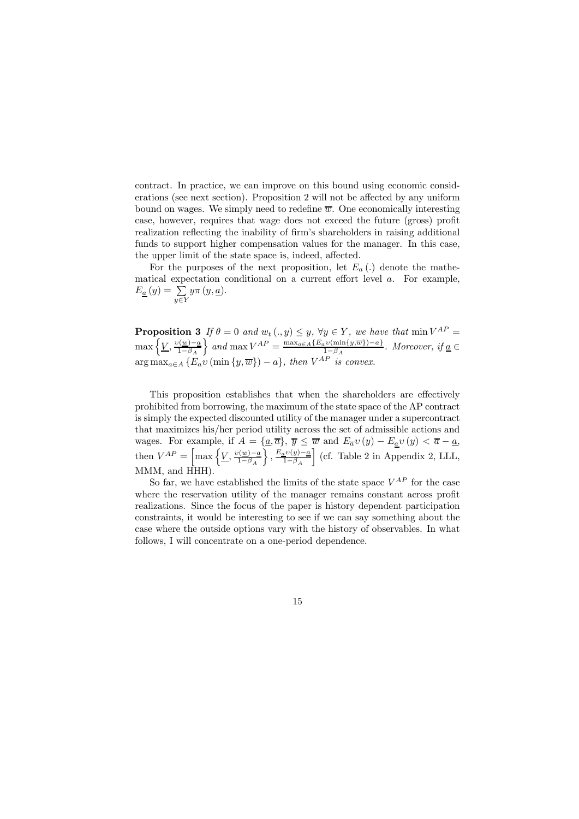contract. In practice, we can improve on this bound using economic considerations (see next section). Proposition 2 will not be affected by any uniform bound on wages. We simply need to redefine  $\overline{w}$ . One economically interesting case, however, requires that wage does not exceed the future (gross) profit realization reflecting the inability of firm's shareholders in raising additional funds to support higher compensation values for the manager. In this case, the upper limit of the state space is, indeed, affected.

For the purposes of the next proposition, let  $E_a(.)$  denote the mathematical expectation conditional on a current effort level a. For example,  $E_{\underline{a}}(y) = \sum$  $y \in Y$  $y\pi(y,\underline{a})$ .

**Proposition 3** If  $\theta = 0$  and  $w_t(. , y) \leq y, \forall y \in Y$ , we have that  $\min V^{AP} =$  $\max\left\{\underline{V}, \frac{\upsilon(\underline{w})-\underline{a}}{1-\beta_A}\right\}$  $\left\{\right\}$  and max  $V^{AP} = \frac{\max_{a \in A} \{E_a v(\min\{y,\overline{w}\})-a\}}{1-\beta_A}$ . Moreover, if <u>a</u> ∈  $\arg \max_{a \in A} \{E_a v(\min\{y, \overline{w}\}) - a\},\ \text{then}\ V^{AP}\ \text{is convex.}$ 

This proposition establishes that when the shareholders are effectively prohibited from borrowing, the maximum of the state space of the AP contract is simply the expected discounted utility of the manager under a supercontract that maximizes his/her period utility across the set of admissible actions and wages. For example, if  $A = \{a, \overline{a}\}, \overline{y} \leq \overline{w}$  and  $E_{\overline{a}}v(y) - E_{\underline{a}}v(y) < \overline{a} - a$ , then  $V^{AP} = \left[\max\left\{\underline{V}, \frac{v(\underline{w}) - \underline{a}}{1 - \beta_A}\right\}\right]$  $\Big\}$  ,  $\frac{E_a v(y)-a}{1-\beta_A}$ i (cf. Table 2 in Appendix 2, LLL, MMM, and HHH).

So far, we have established the limits of the state space  $V^{AP}$  for the case where the reservation utility of the manager remains constant across profit realizations. Since the focus of the paper is history dependent participation constraints, it would be interesting to see if we can say something about the case where the outside options vary with the history of observables. In what follows, I will concentrate on a one-period dependence.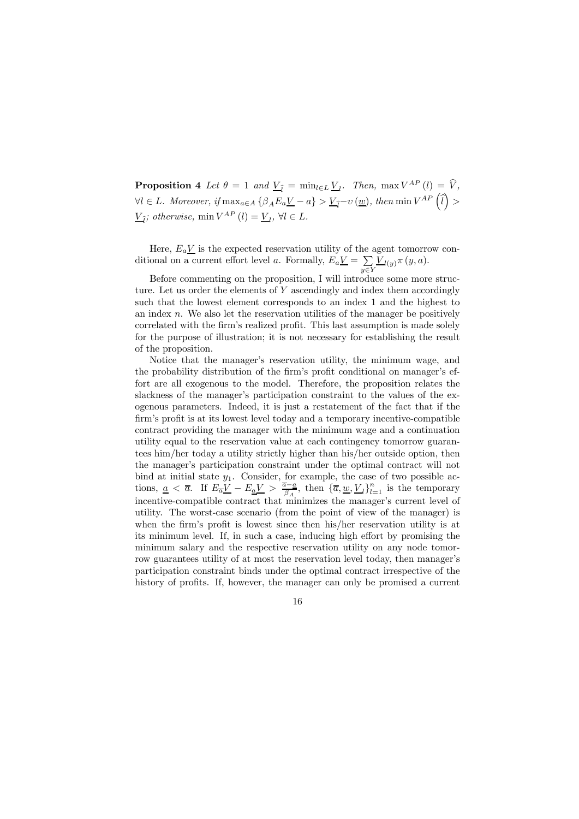**Proposition 4** Let  $\theta = 1$  and  $\underline{V}_{\hat{I}} = \min_{l \in L} \underline{V}_{l}$ . Then,  $\max V^{AP}(l) = \widehat{V}_{\hat{I}}$  $\forall l \in L$ . Moreover, if  $\max_{a \in A} {\{\beta_A E_a \underline{V} - a\}} > \underline{V}_{\widehat{l}} - \upsilon(\underline{w})$ , then  $\min V^{AP}(\widehat{l}) >$  $\underline{V}_{\widehat{l}}$ ; otherwise, min  $V^{AP} (l) = \underline{V}_{l}$ ,  $\forall l \in L$ .

Here,  $E_a V$  is the expected reservation utility of the agent tomorrow conditional on a current effort level a. Formally,  $E_a \underline{V} = \sum$  $y \in Y$  $\underline{V}_{l(y)}\pi(y,a).$ 

Before commenting on the proposition, I will introduce some more structure. Let us order the elements of  $Y$  ascendingly and index them accordingly such that the lowest element corresponds to an index 1 and the highest to an index  $n$ . We also let the reservation utilities of the manager be positively correlated with the firm's realized profit. This last assumption is made solely for the purpose of illustration; it is not necessary for establishing the result of the proposition.

Notice that the manager's reservation utility, the minimum wage, and the probability distribution of the firm's profit conditional on manager's effort are all exogenous to the model. Therefore, the proposition relates the slackness of the manager's participation constraint to the values of the exogenous parameters. Indeed, it is just a restatement of the fact that if the firm's profit is at its lowest level today and a temporary incentive-compatible contract providing the manager with the minimum wage and a continuation utility equal to the reservation value at each contingency tomorrow guarantees him/her today a utility strictly higher than his/her outside option, then the manager's participation constraint under the optimal contract will not bind at initial state  $y_1$ . Consider, for example, the case of two possible actions,  $\underline{a} < \overline{a}$ . If  $E_{\overline{a}}\underline{V} - E_{\underline{a}}\underline{V} > \frac{\overline{a}-\underline{a}}{\beta_A}$ , then  $\{\overline{a}, \underline{w}, \underline{V}_l\}_{l=1}^n$  is the temporary incentive-compatible contract that minimizes the manager's current level of utility. The worst-case scenario (from the point of view of the manager) is when the firm's profit is lowest since then his/her reservation utility is at its minimum level. If, in such a case, inducing high effort by promising the minimum salary and the respective reservation utility on any node tomorrow guarantees utility of at most the reservation level today, then manager's participation constraint binds under the optimal contract irrespective of the history of profits. If, however, the manager can only be promised a current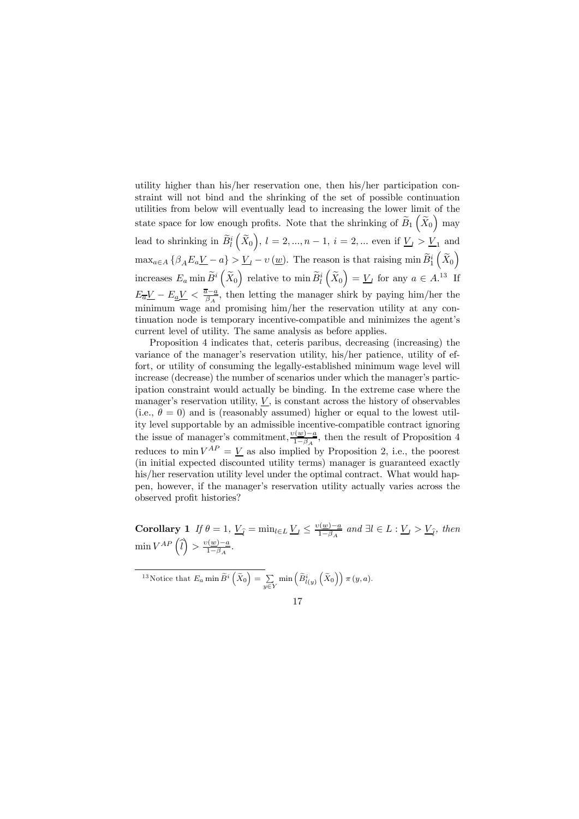utility higher than his/her reservation one, then his/her participation constraint will not bind and the shrinking of the set of possible continuation utilities from below will eventually lead to increasing the lower limit of the state space for low enough profits. Note that the shrinking of  $\widetilde{B}_1(\widetilde{X}_0)$  may lead to shrinking in  $\widetilde{B}_{l}^{i}(\widetilde{X}_{0}), l = 2,..., n - 1, i = 2,...$  even if  $\underline{V}_{l} > \underline{V}_{1}$  and  $\max_{a \in A} \{ \beta_A E_a \underline{V} - a \} > \underline{V}_l - v(\underline{w})$ . The reason is that raising min  $\widetilde{B}_1^i(\widetilde{X}_0)$ increases  $E_a$  min  $\widetilde{B}^i\left(\widetilde{X}_0\right)$  relative to min  $\widetilde{B}^i_l\left(\widetilde{X}_0\right) = \underline{V}_l$  for any  $a \in A$ .<sup>13</sup> If  $E_{\overline{a}}\underline{V} - E_{\underline{a}}\underline{V} < \frac{\overline{a}-\underline{a}}{\beta_A}$ , then letting the manager shirk by paying him/her the minimum wage and promising him/her the reservation utility at any continuation node is temporary incentive-compatible and minimizes the agent's current level of utility. The same analysis as before applies.

Proposition 4 indicates that, ceteris paribus, decreasing (increasing) the variance of the manager's reservation utility, his/her patience, utility of effort, or utility of consuming the legally-established minimum wage level will increase (decrease) the number of scenarios under which the manager's participation constraint would actually be binding. In the extreme case where the manager's reservation utility,  $V$ , is constant across the history of observables (i.e.,  $\theta = 0$ ) and is (reasonably assumed) higher or equal to the lowest utility level supportable by an admissible incentive-compatible contract ignoring the issue of manager's commitment,  $\frac{v(w)-a}{1-\beta_A}$ , then the result of Proposition 4 reduces to min  $V^{AP} = V$  as also implied by Proposition 2, i.e., the poorest (in initial expected discounted utility terms) manager is guaranteed exactly his/her reservation utility level under the optimal contract. What would happen, however, if the manager's reservation utility actually varies across the observed profit histories?

Corollary 1 If  $\theta = 1$ ,  $\underline{V}_{\hat{l}} = \min_{l \in L} \underline{V}_{l} \le \frac{\nu(\underline{w}) - a}{1 - \beta_A}$  and  $\exists l \in L : \underline{V}_{l} > \underline{V}_{\hat{l}}$ , then  $\min V^{AP} \left(\widehat{l}\right) > \frac{\upsilon(\underline{w}) - \underline{a}}{1 - \beta_A}.$ 

<sup>13</sup>Notice that  $E_a$  min  $\widetilde{B}^i\left(\widetilde{X}_0\right) = \sum_{i=1}^n E^i$  $y \in Y$  $\min\left(\widetilde{B}_{l\left(y\right)}^{i}\left(\widetilde{X}_{0}\right)\right)\pi\left(y,a\right).$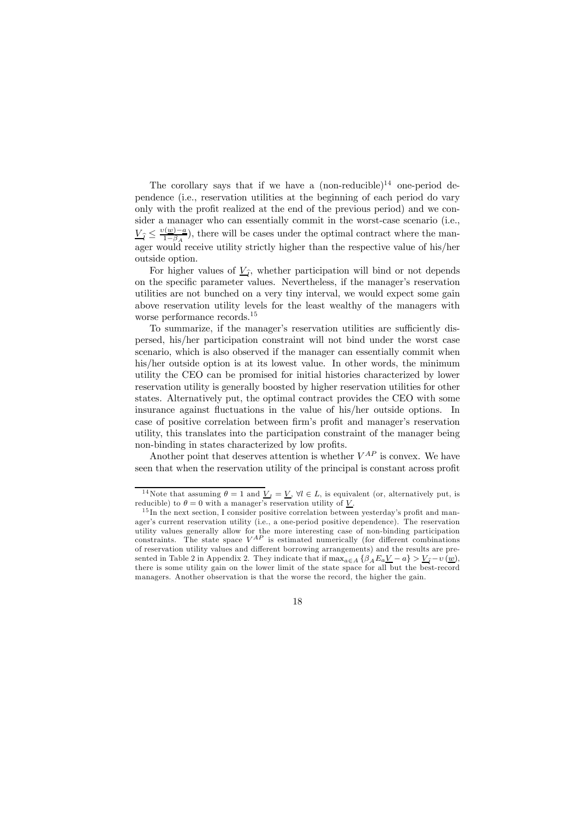The corollary says that if we have a  $(non-reducible)^{14}$  one-period dependence (i.e., reservation utilities at the beginning of each period do vary only with the profit realized at the end of the previous period) and we consider a manager who can essentially commit in the worst-case scenario (i.e.,  $\underline{V}_{\widehat{l}} \leq \frac{v(\underline{w}) - \underline{a}}{1 - \beta_A}$ , there will be cases under the optimal contract where the manager would receive utility strictly higher than the respective value of his/her outside option.

For higher values of  $\underline{V}_{\hat{l}}$ , whether participation will bind or not depends on the specific parameter values. Nevertheless, if the manager's reservation utilities are not bunched on a very tiny interval, we would expect some gain above reservation utility levels for the least wealthy of the managers with worse performance records.15

To summarize, if the manager's reservation utilities are sufficiently dispersed, his/her participation constraint will not bind under the worst case scenario, which is also observed if the manager can essentially commit when his/her outside option is at its lowest value. In other words, the minimum utility the CEO can be promised for initial histories characterized by lower reservation utility is generally boosted by higher reservation utilities for other states. Alternatively put, the optimal contract provides the CEO with some insurance against fluctuations in the value of his/her outside options. In case of positive correlation between firm's profit and manager's reservation utility, this translates into the participation constraint of the manager being non-binding in states characterized by low profits.

Another point that deserves attention is whether  $V^{AP}$  is convex. We have seen that when the reservation utility of the principal is constant across profit

<sup>&</sup>lt;sup>14</sup>Note that assuming  $\theta = 1$  and  $\underline{V}_l = \underline{V}$ ,  $\forall l \in L$ , is equivalent (or, alternatively put, is reducible) to  $\theta = 0$  with a manager's reservation utility of  $\underline{V}$ .

 $15$  In the next section, I consider positive correlation between yesterday's profit and manager's current reservation utility (i.e., a one-period positive dependence). The reservation utility values generally allow for the more interesting case of non-binding participation constraints. The state space  $V^{AP}$  is estimated numerically (for different combinations of reservation utility values and different borrowing arrangements) and the results are presented in Table 2 in Appendix 2. They indicate that if  $\max_{a \in A} {\beta_A E_a V - a} > V_{\hat{I}} - v(\underline{w})$ . there is some utility gain on the lower limit of the state space for all but the best-record managers. Another observation is that the worse the record, the higher the gain.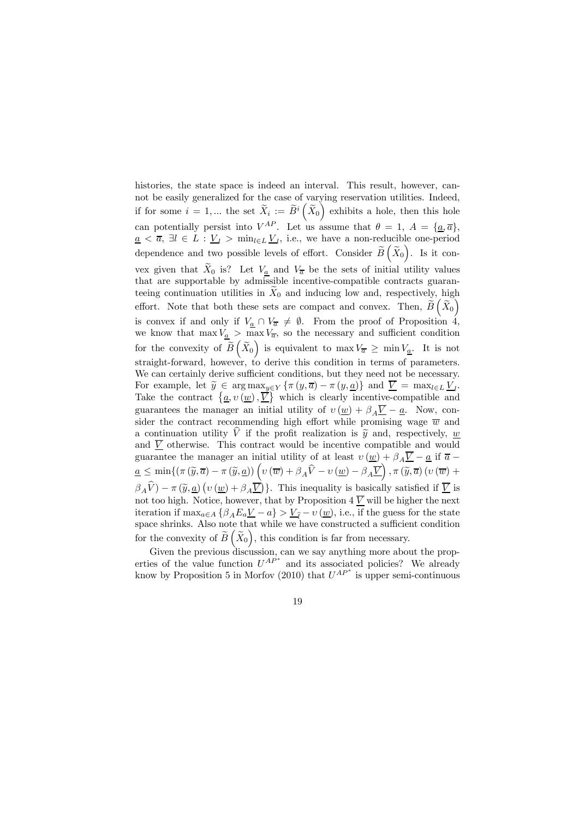histories, the state space is indeed an interval. This result, however, cannot be easily generalized for the case of varying reservation utilities. Indeed, if for some  $i = 1,...$  the set  $\widetilde{X}_i := \widetilde{B}^i\left(\widetilde{X}_0\right)$  exhibits a hole, then this hole can potentially persist into  $V^{AP}$ . Let us assume that  $\theta = 1, A = {\underline{a}, \overline{a}}$ ,  $\underline{a} < \overline{a}$ ,  $\exists l \in L : \underline{V}_l > \min_{l \in L} \underline{V}_l$ , i.e., we have a non-reducible one-period dependence and two possible levels of effort. Consider  $\widetilde{B}(\widetilde{X}_0)$ . Is it convex given that  $X_0$  is? Let  $V_a$  and  $V_{\overline{a}}$  be the sets of initial utility values that are supportable by admissible incentive-compatible contracts guaranteeing continuation utilities in  $\bar{X}_0$  and inducing low and, respectively, high effort. Note that both these sets are compact and convex. Then,  $\tilde{B}(\tilde{X}_0)$ is convex if and only if  $V_{\underline{a}} \cap V_{\overline{a}} \neq \emptyset$ . From the proof of Proposition 4, we know that  $\max V_{\underline{a}} > \max V_{\overline{a}}$ , so the necessary and sufficient condition for the convexity of  $\widetilde{B}(\widetilde{X}_0)$  is equivalent to  $\max V_{\overline{a}} \geq \min V_{\underline{a}}$ . It is not straight-forward, however, to derive this condition in terms of parameters. We can certainly derive sufficient conditions, but they need not be necessary. For example, let  $\widetilde{y} \in \arg \max_{y \in Y} \{\pi(y, \overline{a}) - \pi(y, \underline{a})\}$  and  $\overline{V} = \max_{l \in L} V_l$ . Take the contract  $\{\underline{a}, v(\underline{w}), \underline{\overrightarrow{V}}\}$  which is clearly incentive-compatible and guarantees the manager an initial utility of  $v(\underline{w}) + \beta_A \overline{V} - \underline{a}$ . Now, consider the contract recommending high effort while promising wage  $\overline{w}$  and a continuation utility  $\hat{V}$  if the profit realization is  $\tilde{y}$  and, respectively, w and  $\overline{V}$  otherwise. This contract would be incentive compatible and would guarantee the manager an initial utility of at least  $v(\underline{w}) + \beta_A \overline{V} - \underline{a}$  if  $\overline{a}$  –  $a \leq \min\{(\pi(\widetilde{y}, \overline{a}) - \pi(\widetilde{y}, \underline{a}))\left(v(\overline{w}) + \beta_A\widehat{V} - v(\underline{w}) - \beta_A\overline{V}\right), \pi(\widetilde{y}, \overline{a})\left(v(\overline{w}) + \beta_A\widetilde{V} - v(\underline{w})\right)\}$  $\beta_A \hat{V}$ ) –  $\pi (\tilde{y}, \underline{a}) (v (\underline{w}) + \beta_A \overline{V})$ . This inequality is basically satisfied if  $\overline{V}$  is not too high. Notice, however, that by Proposition  $4 \overline{V}$  will be higher the next iteration if  $\max_{a \in A} {\{\beta_A E_a V - a\}} > V_{\hat{i}} - \nu (\underline{w})$ , i.e., if the guess for the state space shrinks. Also note that while we have constructed a sufficient condition for the convexity of  $\widetilde{B}(\widetilde{X}_0)$ , this condition is far from necessary.

Given the previous discussion, can we say anything more about the properties of the value function  $U^{AP}$  and its associated policies? We already know by Proposition 5 in Morfov (2010) that  $U^{AP*}$  is upper semi-continuous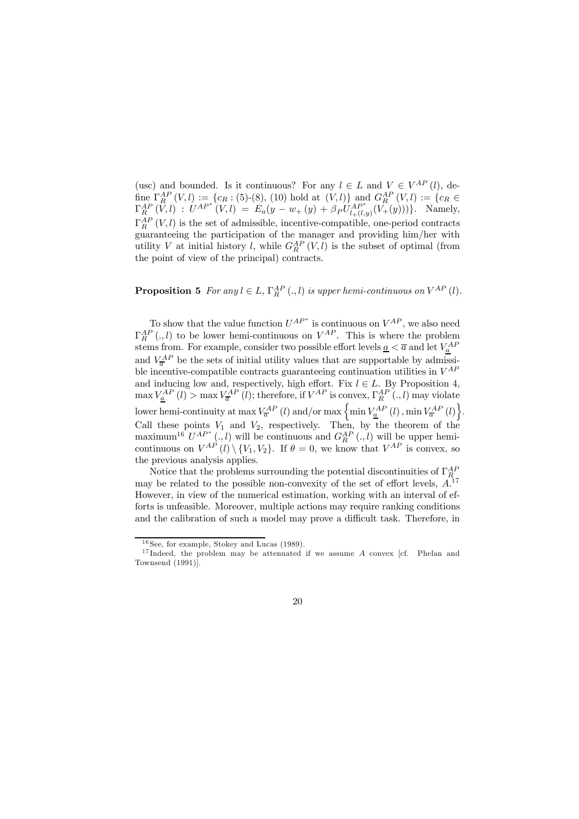(usc) and bounded. Is it continuous? For any  $l \in L$  and  $V \in V^{AP}(l)$ , define  $\Gamma_{AR}^{AP}(V, l) := \{c_R : (5)$ -(8), (10) hold at  $(V, l)$  and  $G_R^{AP}(V, l) := \{c_R \in \mathbb{R}^N : (C_R \cap \mathbb{R}^N) \mid \mathbb{R}^N \leq \mathbb{R}^N \}$  $\Gamma_R^{AP}(V, l)$  :  $U^{AP^*}(V, l) = E_a(y - w_+(y) + \beta_P U_{l+(l,y)}^{AP^*}(V_+(y)))\}$ . Namely,  $\Gamma_R^{AP}$  (V, l) is the set of admissible, incentive-compatible, one-period contracts guaranteeing the participation of the manager and providing him/her with utility V at initial history l, while  $G_R^{AP}(V, l)$  is the subset of optimal (from the point of view of the principal) contracts.

# **Proposition 5** For any  $l \in L$ ,  $\Gamma_R^{AP}(.l)$  is upper hemi-continuous on  $V^{AP}(l)$ .

To show that the value function  $U^{AP}$  is continuous on  $V^{AP}$ , we also need  $\Gamma_R^{AP}$  (., l) to be lower hemi-continuous on  $V^{AP}$ . This is where the problem stems from. For example, consider two possible effort levels  $\underline{a} < \overline{a}$  and let  $V_{\underline{a}}^{AF}$ and  $V_{\overline{a}}^{AP}$  be the sets of initial utility values that are supportable by admissible incentive-compatible contracts guaranteeing continuation utilities in  $V^{AP}$ and inducing low and, respectively, high effort. Fix  $l \in L$ . By Proposition 4,  $\max_{\mathbf{A}} V_{\mathbf{A}}^{AP}(l) > \max_{\mathbf{A}} V_{\overline{\mathbf{a}}}^{AP}(l)$ ; therefore, if  $V^{AP}$  is convex,  $\Gamma_{R}^{AP}(l,l)$  may violate lower hemi-continuity at max  $V_a^{AP} (l)$  and/or max  $\left\{\min V_a^{AP} (l), \min V_a^{AP} (l)\right\}$ . Call these points  $V_1$  and  $V_2$ , respectively. Then, by the theorem of the maximum<sup>16</sup>  $U^{AP}$ <sup>\*</sup> (., l) will be continuous and  $G^{AP}_{R}$  (., l) will be upper hemicontinuous on  $V^{AP}$  (l)  $\{V_1, V_2\}$ . If  $\theta = 0$ , we know that  $V^{AP}$  is convex, so the previous analysis applies.

Notice that the problems surrounding the potential discontinuities of  $\Gamma_R^{AF}$ may be related to the possible non-convexity of the set of effort levels,  $A^{17}$ However, in view of the numerical estimation, working with an interval of efforts is unfeasible. Moreover, multiple actions may require ranking conditions and the calibration of such a model may prove a difficult task. Therefore, in

<sup>&</sup>lt;sup>16</sup> See, for example, Stokey and Lucas (1989).

<sup>&</sup>lt;sup>17</sup>Indeed, the problem may be attenuated if we assume A convex [cf. Phelan and Townsend (1991)].

<sup>20</sup>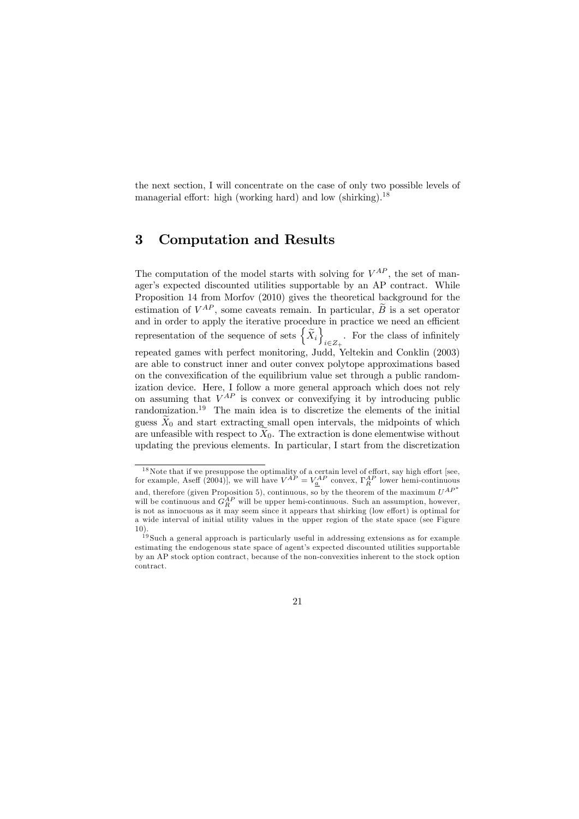the next section, I will concentrate on the case of only two possible levels of managerial effort: high (working hard) and low (shirking).<sup>18</sup>

# 3 Computation and Results

The computation of the model starts with solving for  $V^{AP}$ , the set of manager's expected discounted utilities supportable by an AP contract. While Proposition 14 from Morfov (2010) gives the theoretical background for the estimation of  $V^{AP}$ , some caveats remain. In particular,  $\widetilde{B}$  is a set operator and in order to apply the iterative procedure in practice we need an efficient representation of the sequence of sets  $\left\{ \widetilde{X}_{i}\right\}$  $i \in \mathbb{Z}_{+}$ . For the class of infinitely repeated games with perfect monitoring, Judd, Yeltekin and Conklin (2003) are able to construct inner and outer convex polytope approximations based on the convexification of the equilibrium value set through a public randomization device. Here, I follow a more general approach which does not rely on assuming that  $V^{AP}$  is convex or convexifying it by introducing public randomization.<sup>19</sup> The main idea is to discretize the elements of the initial guess  $\widetilde{X}_0$  and start extracting small open intervals, the midpoints of which are unfeasible with respect to  $\widetilde{X}_0$ . The extraction is done elementwise without updating the previous elements. In particular, I start from the discretization

 $18$  Note that if we presuppose the optimality of a certain level of effort, say high effort [see, for example, Aseff (2004)], we will have  $V^{AP} = V_{\underline{a}}^{AP}$  convex,  $\Gamma_R^{AP}$  lower hemi-continuous and, therefore (given Proposition 5), continuous, so by the theorem of the maximum  $U^{AP*}$ will be continuous and  $G_R^{AP}$  will be upper hemi-continuous. Such an assumption, however, is not as innocuous as it may seem since it appears that shirking (low effort) is optimal for a wide interval of initial utility values in the upper region of the state space (see Figure 10).

<sup>&</sup>lt;sup>19</sup> Such a general approach is particularly useful in addressing extensions as for example estimating the endogenous state space of agent's expected discounted utilities supportable by an AP stock option contract, because of the non-convexities inherent to the stock option contract.

<sup>21</sup>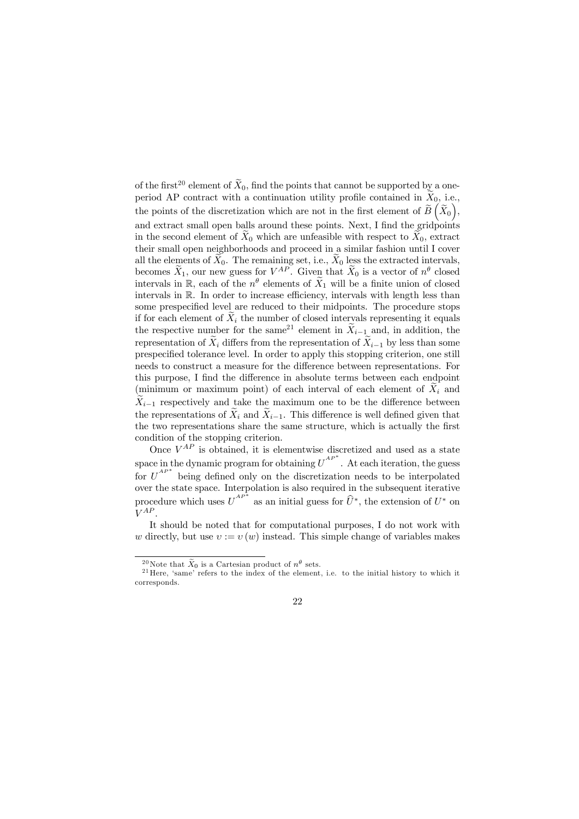of the first<sup>20</sup> element of  $\widetilde{X}_0$ , find the points that cannot be supported by a oneperiod AP contract with a continuation utility profile contained in  $\widetilde{X}_0$ , i.e., the points of the discretization which are not in the first element of  $\widetilde{B}(\widetilde{X}_0)$ , and extract small open balls around these points. Next, I find the gridpoints in the second element of  $\overline{X}_0$  which are unfeasible with respect to  $\overline{X}_0$ , extract their small open neighborhoods and proceed in a similar fashion until I cover all the elements of  $X_0$ . The remaining set, i.e.,  $X_0$  less the extracted intervals, becomes  $\tilde{X}_1$ , our new guess for  $V^{AP}$ . Given that  $\tilde{X}_0$  is a vector of  $n^{\theta}$  closed intervals in  $\mathbb{R}$ , each of the  $n^{\theta}$  elements of  $\widetilde{X}_1$  will be a finite union of closed intervals in R. In order to increase efficiency, intervals with length less than some prespecified level are reduced to their midpoints. The procedure stops if for each element of  $X_i$  the number of closed intervals representing it equals the respective number for the same<sup>21</sup> element in  $\widetilde{X}_{i-1}$  and, in addition, the representation of  $\widetilde{X}_i$  differs from the representation of  $\widetilde{X}_{i-1}$  by less than some prespecified tolerance level. In order to apply this stopping criterion, one still needs to construct a measure for the difference between representations. For this purpose, I find the difference in absolute terms between each endpoint (minimum or maximum point) of each interval of each element of  $X_i$  and  $\tilde{X}_{i-1}$  respectively and take the maximum one to be the difference between the representations of  $\widetilde{X}_i$  and  $\widetilde{X}_{i-1}$ . This difference is well defined given that the two representations share the same structure, which is actually the first condition of the stopping criterion.

Once  $V^{AP}$  is obtained, it is elementwise discretized and used as a state space in the dynamic program for obtaining  $U^{AP}$ <sup>\*</sup>. At each iteration, the guess for  $U^{AP*}$  being defined only on the discretization needs to be interpolated over the state space. Interpolation is also required in the subsequent iterative procedure which uses  $U^{AP*}$  as an initial guess for  $\widehat{U}^*$ , the extension of  $U^*$  on  $V^{AP}$ 

It should be noted that for computational purposes, I do not work with w directly, but use  $v := v(w)$  instead. This simple change of variables makes

<sup>&</sup>lt;sup>20</sup>Note that  $\tilde{X}_0$  is a Cartesian product of  $n^{\theta}$  sets.<br><sup>21</sup>Here, 'same' refers to the index of the element, i.e. to the initial history to which it corresponds.

<sup>22</sup>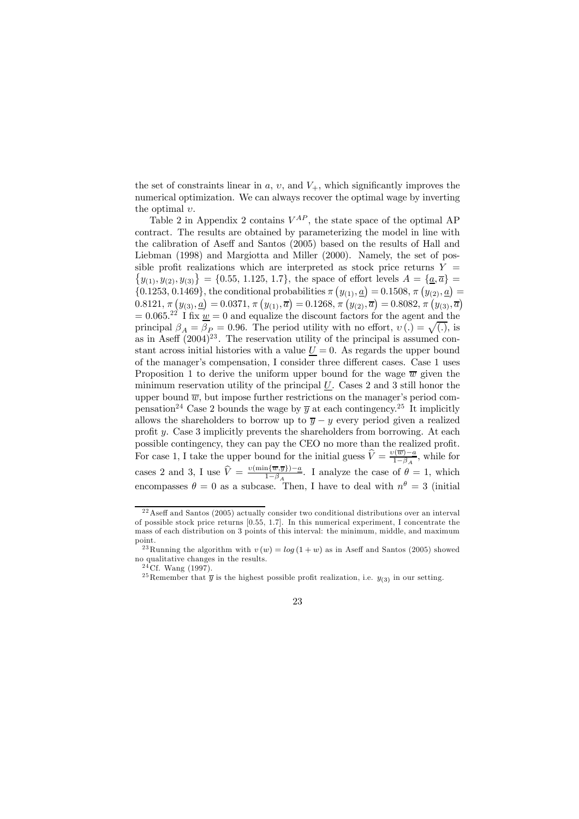the set of constraints linear in  $a, v$ , and  $V_{+}$ , which significantly improves the numerical optimization. We can always recover the optimal wage by inverting the optimal  $v$ .

Table 2 in Appendix 2 contains  $V^{AP}$ , the state space of the optimal AP contract. The results are obtained by parameterizing the model in line with the calibration of Aseff and Santos (2005) based on the results of Hall and Liebman (1998) and Margiotta and Miller (2000). Namely, the set of pos-  $\{y_{(1)}, y_{(2)}, y_{(3)}\} = \{0.55, 1.125, 1.7\}$ , the space of effort levels  $A = \{a, \overline{a}\}$ sible profit realizations which are interpreted as stock price returns  $Y =$ {0.1253, 0.1469}, the conditional probabilities  $\pi (y_{(1)}, \underline{a}) = 0.1508, \pi (y_{(2)}, \underline{a}) =$  $0.8121,\,\pi\left(y_{(3)},\underline{a}\right)=0.0371,\,\pi\left(y_{(1)},\overline{a}\right)=0.1268,\,\pi\left(y_{(2)},\overline{a}\right)=0.8082,\,\pi\left(y_{(3)},\overline{a}\right)$  $= 0.065^{22}$  I fix  $w = 0$  and equalize the discount factors for the agent and the principal  $\beta_A = \beta_P = 0.96$ . The period utility with no effort,  $v(.) = \sqrt{(.)}$ , is as in Aseff  $(2004)^{23}$ . The reservation utility of the principal is assumed constant across initial histories with a value  $U = 0$ . As regards the upper bound of the manager's compensation, I consider three different cases. Case 1 uses Proposition 1 to derive the uniform upper bound for the wage  $\overline{w}$  given the minimum reservation utility of the principal  $U$ . Cases 2 and 3 still honor the upper bound  $\overline{w}$ , but impose further restrictions on the manager's period compensation<sup>24</sup> Case 2 bounds the wage by  $\overline{y}$  at each contingency.<sup>25</sup> It implicitly allows the shareholders to borrow up to  $\overline{y} - y$  every period given a realized profit y. Case 3 implicitly prevents the shareholders from borrowing. At each possible contingency, they can pay the CEO no more than the realized profit. For case 1, I take the upper bound for the initial guess  $\hat{V} = \frac{v(\overline{w}) - a}{1 - \beta_A}$ , while for cases 2 and 3, I use  $\hat{V} = \frac{v(\min{\{\overline{w},\overline{y}\}})-a}{1-\beta_A}$ . I analyze the case of  $\theta = 1$ , which encompasses  $\theta = 0$  as a subcase. Then, I have to deal with  $n^{\theta} = 3$  (initial

<sup>&</sup>lt;sup>25</sup>Remember that  $\overline{y}$  is the highest possible profit realization, i.e.  $y_{(3)}$  in our setting.



 $22$ Aseff and Santos (2005) actually consider two conditional distributions over an interval of possible stock price returns [0.55, 1.7]. In this numerical experiment, I concentrate the mass of each distribution on 3 points of this interval: the minimum, middle, and maximum point.

<sup>&</sup>lt;sup>23</sup> Running the algorithm with  $v(w) = log(1 + w)$  as in Aseff and Santos (2005) showed no qualitative changes in the results.

 $24$  Cf. Wang (1997).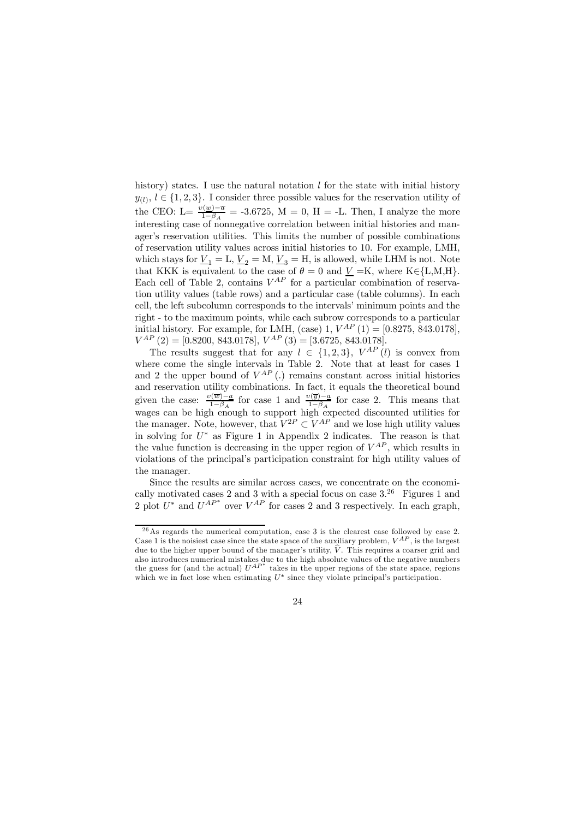history) states. I use the natural notation  $l$  for the state with initial history  $y_{(l)}, l \in \{1, 2, 3\}$ . I consider three possible values for the reservation utility of the CEO: L=  $\frac{v(\underline{w})-\overline{a}}{1-\beta_A}$  = -3.6725, M = 0, H = -L. Then, I analyze the more interesting case of nonnegative correlation between initial histories and manager's reservation utilities. This limits the number of possible combinations of reservation utility values across initial histories to 10. For example, LMH, which stays for  $\underline{V}_1 = L, \underline{V}_2 = M, \underline{V}_3 = H$ , is allowed, while LHM is not. Note that KKK is equivalent to the case of  $\theta = 0$  and  $\underline{V} = K$ , where K∈{L,M,H}. Each cell of Table 2, contains  $V^{AP}$  for a particular combination of reservation utility values (table rows) and a particular case (table columns). In each cell, the left subcolumn corresponds to the intervals' minimum points and the right - to the maximum points, while each subrow corresponds to a particular initial history. For example, for LMH, (case) 1,  $V^{AP}$  (1) = [0.8275, 843.0178],  $V^{AP}(2) = [0.8200, 843.0178], V^{AP}(3) = [3.6725, 843.0178].$ 

The results suggest that for any  $l \in \{1,2,3\}$ ,  $V^{AP}(l)$  is convex from where come the single intervals in Table 2. Note that at least for cases 1 and 2 the upper bound of  $V^{AP}$  (.) remains constant across initial histories and reservation utility combinations. In fact, it equals the theoretical bound given the case:  $\frac{v(\overline{w})-\underline{a}}{1-\beta_A}$  for case 1 and  $\frac{v(\overline{y})-\underline{a}}{1-\beta_A}$  for case 2. This means that wages can be high enough to support high expected discounted utilities for the manager. Note, however, that  $V^{2P} \subset V^{AP}$  and we lose high utility values in solving for  $U^*$  as Figure 1 in Appendix 2 indicates. The reason is that the value function is decreasing in the upper region of  $V^{AP}$ , which results in violations of the principal's participation constraint for high utility values of the manager.

Since the results are similar across cases, we concentrate on the economically motivated cases 2 and 3 with a special focus on case  $3.^{26}$  Figures 1 and 2 plot  $U^*$  and  $U^{AP^*}$  over  $V^{AP}$  for cases 2 and 3 respectively. In each graph,

 $2<sup>6</sup>$ As regards the numerical computation, case 3 is the clearest case followed by case 2. Case 1 is the noisiest case since the state space of the auxiliary problem,  $V^{AP}$ , is the largest due to the higher upper bound of the manager's utility,  $\hat{V}$ . This requires a coarser grid and also introduces numerical mistakes due to the high absolute values of the negative numbers the guess for (and the actual)  $U^{AP}$ <sup>\*</sup> takes in the upper regions of the state space, regions which we in fact lose when estimating  $U^*$  since they violate principal's participation.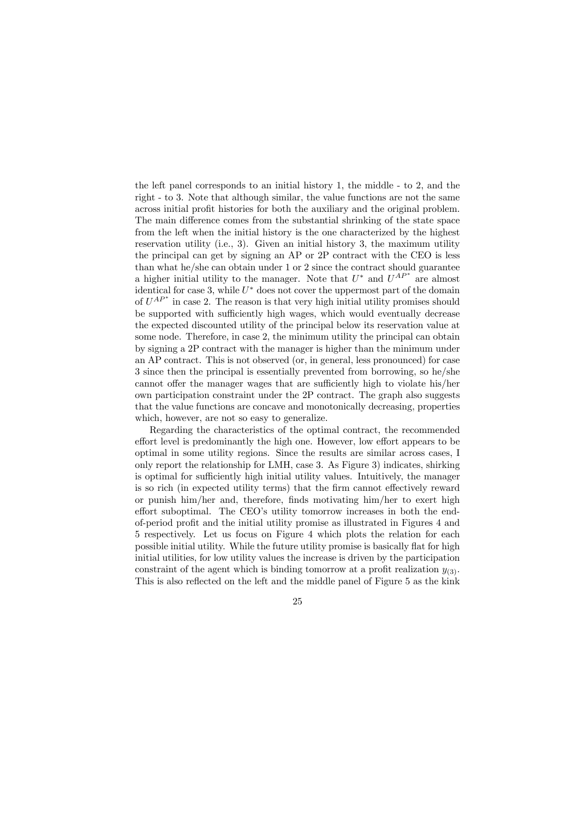the left panel corresponds to an initial history 1, the middle - to 2, and the right - to 3. Note that although similar, the value functions are not the same across initial profit histories for both the auxiliary and the original problem. The main difference comes from the substantial shrinking of the state space from the left when the initial history is the one characterized by the highest reservation utility (i.e., 3). Given an initial history 3, the maximum utility the principal can get by signing an AP or 2P contract with the CEO is less than what he/she can obtain under 1 or 2 since the contract should guarantee a higher initial utility to the manager. Note that  $U^*$  and  $U^{AP^*}$  are almost identical for case 3, while  $U^*$  does not cover the uppermost part of the domain of  $U^{AP*}$  in case 2. The reason is that very high initial utility promises should be supported with sufficiently high wages, which would eventually decrease the expected discounted utility of the principal below its reservation value at some node. Therefore, in case 2, the minimum utility the principal can obtain by signing a 2P contract with the manager is higher than the minimum under an AP contract. This is not observed (or, in general, less pronounced) for case 3 since then the principal is essentially prevented from borrowing, so he/she cannot offer the manager wages that are sufficiently high to violate his/her own participation constraint under the 2P contract. The graph also suggests that the value functions are concave and monotonically decreasing, properties which, however, are not so easy to generalize.

Regarding the characteristics of the optimal contract, the recommended effort level is predominantly the high one. However, low effort appears to be optimal in some utility regions. Since the results are similar across cases, I only report the relationship for LMH, case 3. As Figure 3) indicates, shirking is optimal for sufficiently high initial utility values. Intuitively, the manager is so rich (in expected utility terms) that the firm cannot effectively reward or punish him/her and, therefore, finds motivating him/her to exert high effort suboptimal. The CEO's utility tomorrow increases in both the endof-period profit and the initial utility promise as illustrated in Figures 4 and 5 respectively. Let us focus on Figure 4 which plots the relation for each possible initial utility. While the future utility promise is basically flat for high initial utilities, for low utility values the increase is driven by the participation constraint of the agent which is binding tomorrow at a profit realization  $y_{(3)}$ . This is also reflected on the left and the middle panel of Figure 5 as the kink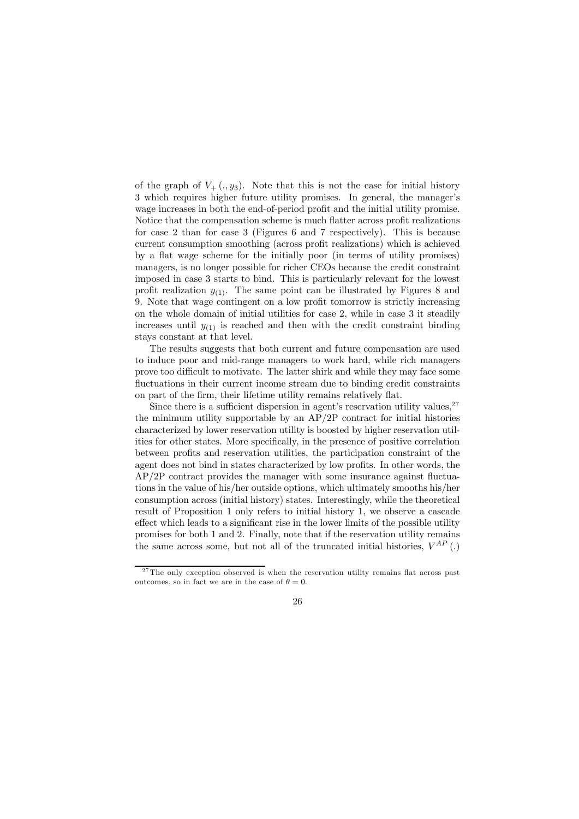of the graph of  $V_+ (., y_3)$ . Note that this is not the case for initial history 3 which requires higher future utility promises. In general, the manager's wage increases in both the end-of-period profit and the initial utility promise. Notice that the compensation scheme is much flatter across profit realizations for case 2 than for case 3 (Figures 6 and 7 respectively). This is because current consumption smoothing (across profit realizations) which is achieved by a flat wage scheme for the initially poor (in terms of utility promises) managers, is no longer possible for richer CEOs because the credit constraint imposed in case 3 starts to bind. This is particularly relevant for the lowest profit realization  $y_{(1)}$ . The same point can be illustrated by Figures 8 and 9. Note that wage contingent on a low profit tomorrow is strictly increasing on the whole domain of initial utilities for case 2, while in case 3 it steadily increases until  $y_{(1)}$  is reached and then with the credit constraint binding stays constant at that level.

The results suggests that both current and future compensation are used to induce poor and mid-range managers to work hard, while rich managers prove too difficult to motivate. The latter shirk and while they may face some fluctuations in their current income stream due to binding credit constraints on part of the firm, their lifetime utility remains relatively flat.

Since there is a sufficient dispersion in agent's reservation utility values,  $27$ the minimum utility supportable by an AP/2P contract for initial histories characterized by lower reservation utility is boosted by higher reservation utilities for other states. More specifically, in the presence of positive correlation between profits and reservation utilities, the participation constraint of the agent does not bind in states characterized by low profits. In other words, the AP/2P contract provides the manager with some insurance against fluctuations in the value of his/her outside options, which ultimately smooths his/her consumption across (initial history) states. Interestingly, while the theoretical result of Proposition 1 only refers to initial history 1, we observe a cascade effect which leads to a significant rise in the lower limits of the possible utility promises for both 1 and 2. Finally, note that if the reservation utility remains the same across some, but not all of the truncated initial histories,  $V^{AP}$  (.)

 $27$ The only exception observed is when the reservation utility remains flat across past outcomes, so in fact we are in the case of  $\theta = 0$ .

<sup>26</sup>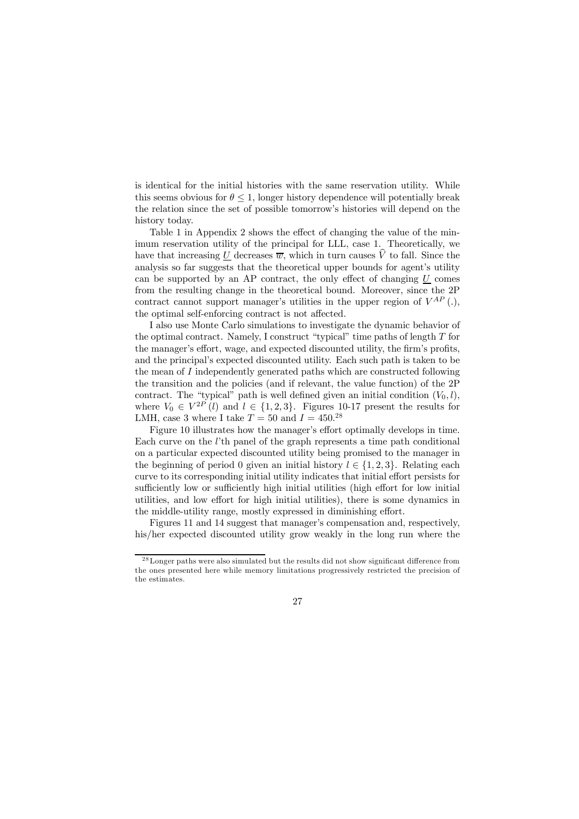is identical for the initial histories with the same reservation utility. While this seems obvious for  $\theta \leq 1$ , longer history dependence will potentially break the relation since the set of possible tomorrow's histories will depend on the history today.

Table 1 in Appendix 2 shows the effect of changing the value of the minimum reservation utility of the principal for LLL, case 1. Theoretically, we have that increasing <u>U</u> decreases  $\overline{w}$ , which in turn causes  $\widehat{V}$  to fall. Since the analysis so far suggests that the theoretical upper bounds for agent's utility can be supported by an AP contract, the only effect of changing  $U$  comes from the resulting change in the theoretical bound. Moreover, since the 2P contract cannot support manager's utilities in the upper region of  $V^{AP}$  (.), the optimal self-enforcing contract is not affected.

I also use Monte Carlo simulations to investigate the dynamic behavior of the optimal contract. Namely, I construct "typical" time paths of length  $T$  for the manager's effort, wage, and expected discounted utility, the firm's profits, and the principal's expected discounted utility. Each such path is taken to be the mean of I independently generated paths which are constructed following the transition and the policies (and if relevant, the value function) of the 2P contract. The "typical" path is well defined given an initial condition  $(V_0, l)$ , where  $V_0 \in V^{2P} (l)$  and  $l \in \{1, 2, 3\}$ . Figures 10-17 present the results for LMH, case 3 where I take  $T = 50$  and  $I = 450^{28}$ 

Figure 10 illustrates how the manager's effort optimally develops in time. Each curve on the l'th panel of the graph represents a time path conditional on a particular expected discounted utility being promised to the manager in the beginning of period 0 given an initial history  $l \in \{1, 2, 3\}$ . Relating each curve to its corresponding initial utility indicates that initial effort persists for sufficiently low or sufficiently high initial utilities (high effort for low initial utilities, and low effort for high initial utilities), there is some dynamics in the middle-utility range, mostly expressed in diminishing effort.

Figures 11 and 14 suggest that manager's compensation and, respectively, his/her expected discounted utility grow weakly in the long run where the

 $^{28}\mathrm{Longer}$  paths were also simulated but the results did not show significant difference from the ones presented here while memory limitations progressively restricted the precision of the estimates.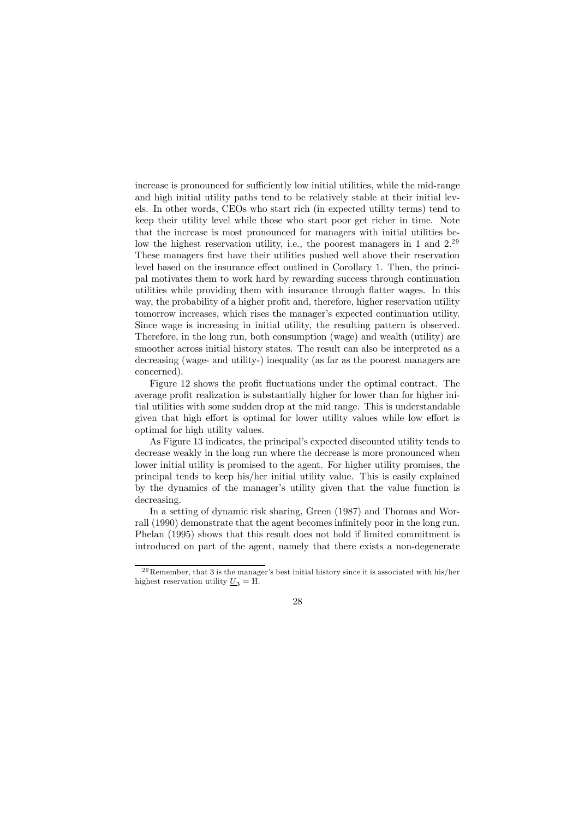increase is pronounced for sufficiently low initial utilities, while the mid-range and high initial utility paths tend to be relatively stable at their initial levels. In other words, CEOs who start rich (in expected utility terms) tend to keep their utility level while those who start poor get richer in time. Note that the increase is most pronounced for managers with initial utilities below the highest reservation utility, i.e., the poorest managers in 1 and 2.<sup>29</sup> These managers first have their utilities pushed well above their reservation level based on the insurance effect outlined in Corollary 1. Then, the principal motivates them to work hard by rewarding success through continuation utilities while providing them with insurance through flatter wages. In this way, the probability of a higher profit and, therefore, higher reservation utility tomorrow increases, which rises the manager's expected continuation utility. Since wage is increasing in initial utility, the resulting pattern is observed. Therefore, in the long run, both consumption (wage) and wealth (utility) are smoother across initial history states. The result can also be interpreted as a decreasing (wage- and utility-) inequality (as far as the poorest managers are concerned).

Figure 12 shows the profit fluctuations under the optimal contract. The average profit realization is substantially higher for lower than for higher initial utilities with some sudden drop at the mid range. This is understandable given that high effort is optimal for lower utility values while low effort is optimal for high utility values.

As Figure 13 indicates, the principal's expected discounted utility tends to decrease weakly in the long run where the decrease is more pronounced when lower initial utility is promised to the agent. For higher utility promises, the principal tends to keep his/her initial utility value. This is easily explained by the dynamics of the manager's utility given that the value function is decreasing.

In a setting of dynamic risk sharing, Green (1987) and Thomas and Worrall (1990) demonstrate that the agent becomes infinitely poor in the long run. Phelan (1995) shows that this result does not hold if limited commitment is introduced on part of the agent, namely that there exists a non-degenerate

 $29$ Remember, that 3 is the manager's best initial history since it is associated with his/her highest reservation utility  $U_3 = H$ .

<sup>28</sup>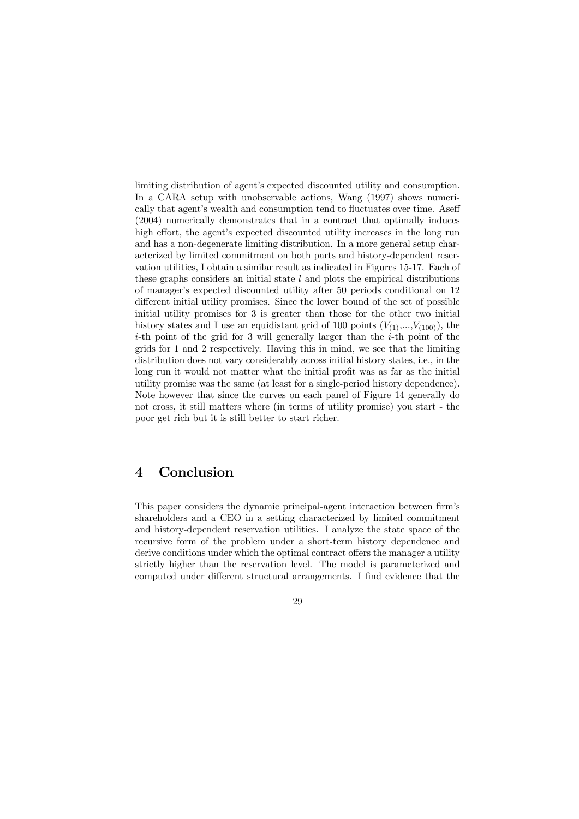limiting distribution of agent's expected discounted utility and consumption. In a CARA setup with unobservable actions, Wang  $(1997)$  shows numerically that agent's wealth and consumption tend to fluctuates over time. Aseff (2004) numerically demonstrates that in a contract that optimally induces high effort, the agent's expected discounted utility increases in the long run and has a non-degenerate limiting distribution. In a more general setup characterized by limited commitment on both parts and history-dependent reservation utilities, I obtain a similar result as indicated in Figures 15-17. Each of these graphs considers an initial state  $l$  and plots the empirical distributions of manager's expected discounted utility after 50 periods conditional on 12 different initial utility promises. Since the lower bound of the set of possible initial utility promises for 3 is greater than those for the other two initial history states and I use an equidistant grid of 100 points  $(V_{(1)},...,V_{(100)})$ , the  $i$ -th point of the grid for 3 will generally larger than the  $i$ -th point of the grids for 1 and 2 respectively. Having this in mind, we see that the limiting distribution does not vary considerably across initial history states, i.e., in the long run it would not matter what the initial profit was as far as the initial utility promise was the same (at least for a single-period history dependence). Note however that since the curves on each panel of Figure 14 generally do not cross, it still matters where (in terms of utility promise) you start - the poor get rich but it is still better to start richer.

# 4 Conclusion

This paper considers the dynamic principal-agent interaction between firm's shareholders and a CEO in a setting characterized by limited commitment and history-dependent reservation utilities. I analyze the state space of the recursive form of the problem under a short-term history dependence and derive conditions under which the optimal contract offers the manager a utility strictly higher than the reservation level. The model is parameterized and computed under different structural arrangements. I find evidence that the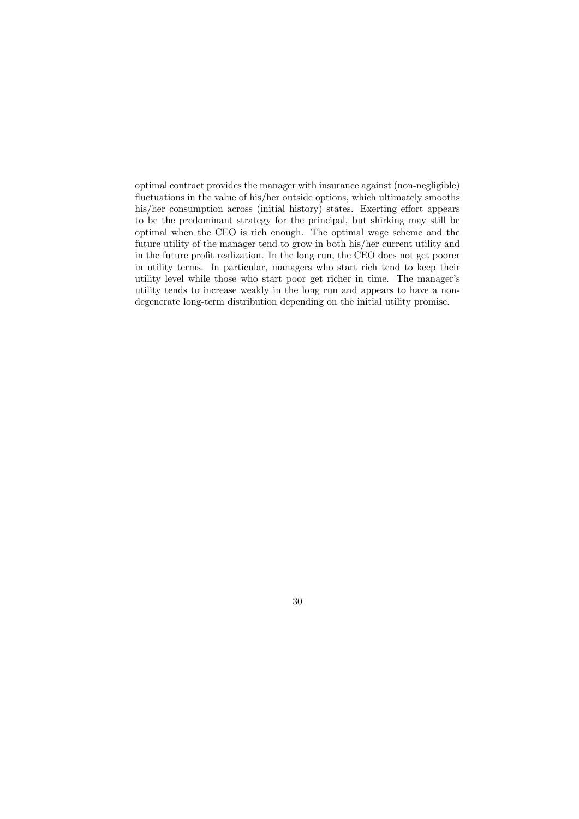optimal contract provides the manager with insurance against (non-negligible) fluctuations in the value of his/her outside options, which ultimately smooths his/her consumption across (initial history) states. Exerting effort appears to be the predominant strategy for the principal, but shirking may still be optimal when the CEO is rich enough. The optimal wage scheme and the future utility of the manager tend to grow in both his/her current utility and in the future profit realization. In the long run, the CEO does not get poorer in utility terms. In particular, managers who start rich tend to keep their utility level while those who start poor get richer in time. The manager's utility tends to increase weakly in the long run and appears to have a nondegenerate long-term distribution depending on the initial utility promise.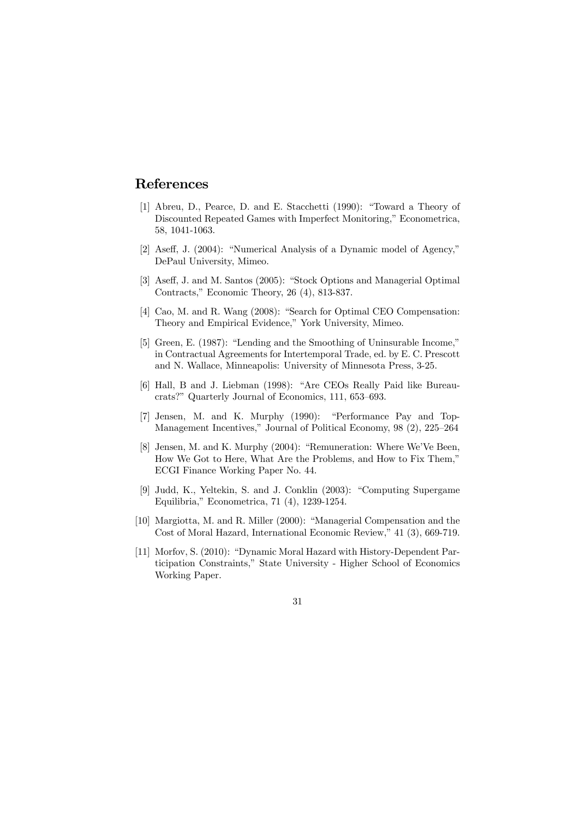## References

- [1] Abreu, D., Pearce, D. and E. Stacchetti (1990): "Toward a Theory of Discounted Repeated Games with Imperfect Monitoring," Econometrica, 58, 1041-1063.
- [2] Aseff, J. (2004): "Numerical Analysis of a Dynamic model of Agency," DePaul University, Mimeo.
- [3] Aseff, J. and M. Santos (2005): "Stock Options and Managerial Optimal Contracts," Economic Theory, 26 (4), 813-837.
- [4] Cao, M. and R. Wang (2008): "Search for Optimal CEO Compensation: Theory and Empirical Evidence," York University, Mimeo.
- [5] Green, E. (1987): "Lending and the Smoothing of Uninsurable Income," in Contractual Agreements for Intertemporal Trade, ed. by E. C. Prescott and N. Wallace, Minneapolis: University of Minnesota Press, 3-25.
- [6] Hall, B and J. Liebman (1998): "Are CEOs Really Paid like Bureaucrats?" Quarterly Journal of Economics, 111, 653—693.
- [7] Jensen, M. and K. Murphy (1990): "Performance Pay and Top-Management Incentives," Journal of Political Economy, 98 (2), 225—264
- [8] Jensen, M. and K. Murphy (2004): "Remuneration: Where We'Ve Been, How We Got to Here, What Are the Problems, and How to Fix Them," ECGI Finance Working Paper No. 44.
- [9] Judd, K., Yeltekin, S. and J. Conklin (2003): "Computing Supergame Equilibria," Econometrica, 71 (4), 1239-1254.
- [10] Margiotta, M. and R. Miller (2000): "Managerial Compensation and the Cost of Moral Hazard, International Economic Review," 41 (3), 669-719.
- [11] Morfov, S. (2010): "Dynamic Moral Hazard with History-Dependent Participation Constraints," State University - Higher School of Economics Working Paper.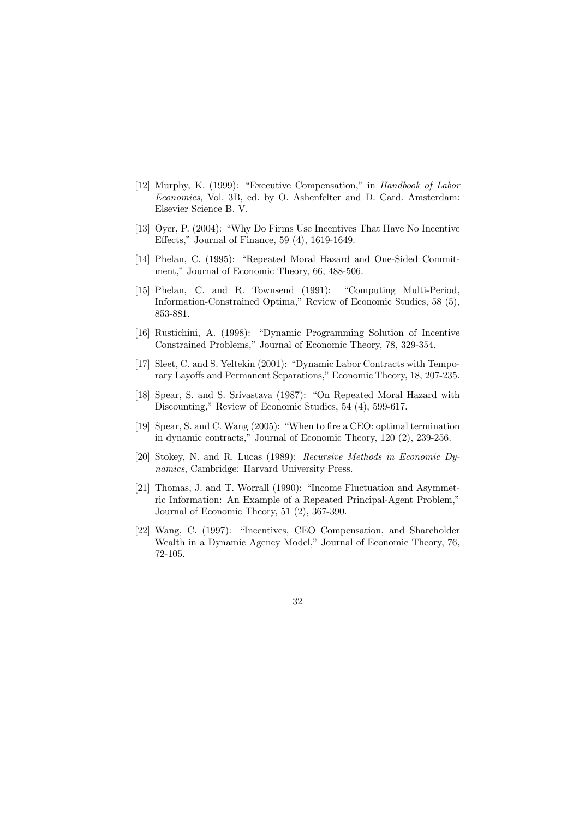- [12] Murphy, K. (1999): "Executive Compensation," in Handbook of Labor Economics, Vol. 3B, ed. by O. Ashenfelter and D. Card. Amsterdam: Elsevier Science B. V.
- [13] Oyer, P. (2004): "Why Do Firms Use Incentives That Have No Incentive Effects," Journal of Finance, 59 (4), 1619-1649.
- [14] Phelan, C. (1995): "Repeated Moral Hazard and One-Sided Commitment," Journal of Economic Theory, 66, 488-506.
- [15] Phelan, C. and R. Townsend (1991): "Computing Multi-Period, Information-Constrained Optima," Review of Economic Studies, 58 (5), 853-881.
- [16] Rustichini, A. (1998): "Dynamic Programming Solution of Incentive Constrained Problems," Journal of Economic Theory, 78, 329-354.
- [17] Sleet, C. and S. Yeltekin (2001): "Dynamic Labor Contracts with Temporary Layoffs and Permanent Separations," Economic Theory, 18, 207-235.
- [18] Spear, S. and S. Srivastava (1987): "On Repeated Moral Hazard with Discounting," Review of Economic Studies, 54 (4), 599-617.
- [19] Spear, S. and C. Wang (2005): "When to fire a CEO: optimal termination in dynamic contracts," Journal of Economic Theory, 120 (2), 239-256.
- [20] Stokey, N. and R. Lucas (1989): Recursive Methods in Economic Dynamics, Cambridge: Harvard University Press.
- [21] Thomas, J. and T. Worrall (1990): "Income Fluctuation and Asymmetric Information: An Example of a Repeated Principal-Agent Problem," Journal of Economic Theory, 51 (2), 367-390.
- [22] Wang, C. (1997): "Incentives, CEO Compensation, and Shareholder Wealth in a Dynamic Agency Model," Journal of Economic Theory, 76, 72-105.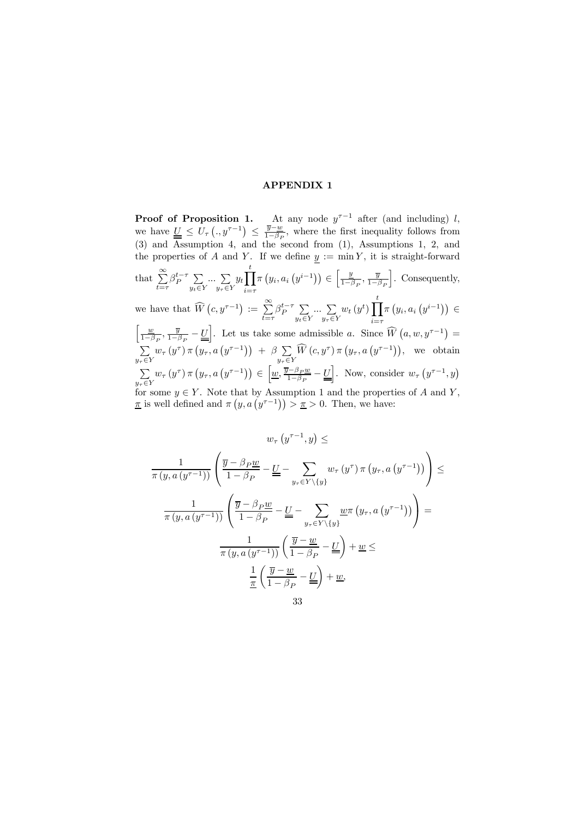## APPENDIX 1

**Proof of Proposition 1.** At any node  $y^{\tau-1}$  after (and including) l, we have  $\underline{\underline{U}} \leq U_{\tau} \left(.,y^{\tau-1}\right) \leq \frac{\overline{y}-\underline{w}}{1-\beta_P}$ , where the first inequality follows from (3) and Assumption 4, and the second from (1), Assumptions 1, 2, and the properties of A and Y. If we define  $y := \min Y$ , it is straight-forward that  $\sum^{\infty}$  $\sum_{t=\tau}^{\infty} \beta_P^{t-\tau} \sum_{y_t \in \mathbb{N}}$  $y_t \in Y$  $\ldots$   $\sum$  $y_\tau \in Y$  $y_t$ <sup>t</sup>  $i = \tau$  $\pi(y_i, a_i(y^{i-1})) \in \left[\frac{y}{1-y}\right]$  $\frac{y}{1-\beta_P}, \frac{\overline{y}}{1-\beta_P}$ |. Consequently, we have that  $\widehat{W}(c, y^{\tau-1}) := \sum_{n=0}^{\infty}$  $\sum_{t=\tau}^{\infty} \beta_P^{t-\tau} \sum_{y_t \in \mathbb{S}}$  $y_t \in Y$  $\ldots$   $\sum$  $y_\tau \in Y$  $w_t(y^t)\prod^t$  $i = \tau$  $\pi(y_i, a_i(y^{i-1})) \in$  $\lceil \quad \underline{w}$  $\frac{w}{1-\beta_P}, \frac{\overline{y}}{1-\beta_P} - \underline{U}$ . Let us take some admissible a. Since  $\widehat{W}(a, w, y^{\tau-1}) =$  $\sum$  $y_\tau \in Y$  $w_{\tau}(y^{\tau}) \pi (y_{\tau}, a (y^{\tau-1})) + \beta \sum$  $y_\tau \in Y$  $\widehat{W}\left(c,y^{\tau}\right)\pi\left(y_{\tau},a\left(y^{\tau-1}\right)\right), \text{ we obtain}$  $\sum$  $y_\tau \in Y$  $w_{\tau}(y^{\tau}) \pi(y_{\tau}, a(y^{\tau-1})) \in \left[\underline{w}, \frac{\overline{y} - \beta_P \underline{w}}{1 - \beta_P} - \underline{L}\right]$ . Now, consider  $w_{\tau}(y^{\tau-1}, y)$ for some  $y \in Y$ . Note that by Assumption 1 and the properties of A and Y,  $\pi$  is well defined and  $\pi\left(y, a\left(y^{\tau-1}\right)\right) > \pi > 0$ . Then, we have:

$$
w_{\tau} (y^{\tau-1}, y) \le
$$
  

$$
\frac{1}{\pi (y, a (y^{\tau-1}))} \left( \frac{\overline{y} - \beta_P \underline{w}}{1 - \beta_P} - \underline{U} - \sum_{y_{\tau} \in Y \setminus \{y\}} w_{\tau} (y^{\tau}) \pi (y_{\tau}, a (y^{\tau-1})) \right) \le
$$
  

$$
\frac{1}{\pi (y, a (y^{\tau-1}))} \left( \frac{\overline{y} - \beta_P \underline{w}}{1 - \beta_P} - \underline{U} - \sum_{y_{\tau} \in Y \setminus \{y\}} \underline{w} \pi (y_{\tau}, a (y^{\tau-1})) \right) =
$$
  

$$
\frac{1}{\pi (y, a (y^{\tau-1}))} \left( \frac{\overline{y} - \underline{w}}{1 - \beta_P} - \underline{U} \right) + \underline{w} \le
$$
  

$$
\frac{1}{\pi} \left( \frac{\overline{y} - \underline{w}}{1 - \beta_P} - \underline{U} \right) + \underline{w},
$$
  
33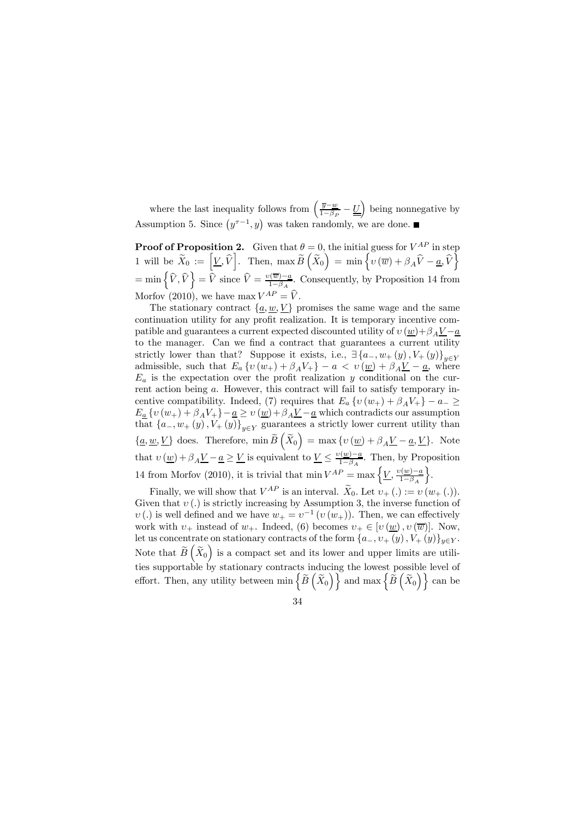where the last inequality follows from  $\left(\frac{\overline{y}-w}{1-\beta_P}-\underline{\underline{U}}\right)$  being nonnegative by Assumption 5. Since  $(y^{\tau-1}, y)$  was taken randomly, we are done.

**Proof of Proposition 2.** Given that  $\theta = 0$ , the initial guess for  $V^{AP}$  in step 1 will be  $\widetilde{X}_0 := \left[ \underline{V}, \widehat{V} \right]$ . Then,  $\max \widetilde{B}\left( \widetilde{X}_0 \right) = \min \left\{ \widetilde{v} \left( \overline{w} \right) + \beta_A \widehat{V} - \underline{a}, \widehat{V} \right\}$  $=\min\left\{\widehat{V},\widehat{V}\right\}=\overline{\widehat{V}}$  since  $\widehat{V}=\frac{v(\overline{w})-\underline{a}}{1-\beta_A}$ . Consequently, by Proposition 14 from Morfov (2010), we have max  $V^{AP} = \hat{V}$ .

The stationary contract  $\{\underline{a}, \underline{w}, \underline{V}\}$  promises the same wage and the same continuation utility for any profit realization. It is temporary incentive compatible and guarantees a current expected discounted utility of  $v(\underline{w})+\beta_A \underline{V}-\underline{a}$ to the manager. Can we find a contract that guarantees a current utility strictly lower than that? Suppose it exists, i.e.,  $\exists \{a_-, w_+(y), V_+(y)\}_{y \in Y}$ admissible, such that  $E_a \{v(w_+) + \beta_A V_+\} - a < v(\underline{w}) + \beta_A \underline{V} - \underline{a}$ , where  $E_a$  is the expectation over the profit realization y conditional on the current action being a. However, this contract will fail to satisfy temporary incentive compatibility. Indeed, (7) requires that  $E_a \{v(w_+) + \beta_A V_+\} - a_- \geq$  $E_{\underline{a}}\left\{v(w_{+})+\beta_{A}V_{+}\right\}-\underline{a}\geq v(\underline{w})+\beta_{A}\underline{V}-\underline{a}$  which contradicts our assumption that  ${a_-, w_+(y), V_+(y)}_{y \in Y}$  guarantees a strictly lower current utility than  $\{\underline{a}, \underline{w}, \underline{V}\}$  does. Therefore,  $\min \widetilde{B}\left(\widetilde{X}_0\right) = \max \{v(\underline{w}) + \beta_A \underline{V} - \underline{a}, \underline{V}\}$ . Note that  $v(\underline{w}) + \beta_A \underline{V} - \underline{a} \ge \underline{V}$  is equivalent to  $\underline{V} \le \frac{v(\underline{w}) - \underline{a}}{1 - \beta_A}$ . Then, by Proposition 14 from Morfov (2010), it is trivial that  $\min V^{AP} = \max \left\{ \frac{V}{1-\beta_A} \right\}$  $\}$ .

Finally, we will show that  $V^{AP}$  is an interval.  $\widetilde{X}_0$ . Let  $v_+(\cdot) := v(w_+(\cdot)).$ Given that  $v(.)$  is strictly increasing by Assumption 3, the inverse function of  $v(.)$  is well defined and we have  $w_+ = v^{-1} (v (w_+))$ . Then, we can effectively work with  $v_+$  instead of  $w_+$ . Indeed, (6) becomes  $v_+ \in [v(w), v(\overline{w})]$ . Now, let us concentrate on stationary contracts of the form  $\{a_-, v_+(y), V_+(y)\}_{y \in Y}$ . Note that  $\widetilde{B}(\widetilde{X}_0)$  is a compact set and its lower and upper limits are utilities supportable by stationary contracts inducing the lowest possible level of effort. Then, any utility between  $\min \left\{ \widetilde{B}\left(\widetilde{X}_{0}\right) \right\}$  and  $\max \left\{ \dot{\widetilde{B}}\left(\widetilde{X}_{0}\right) \right\}$  can be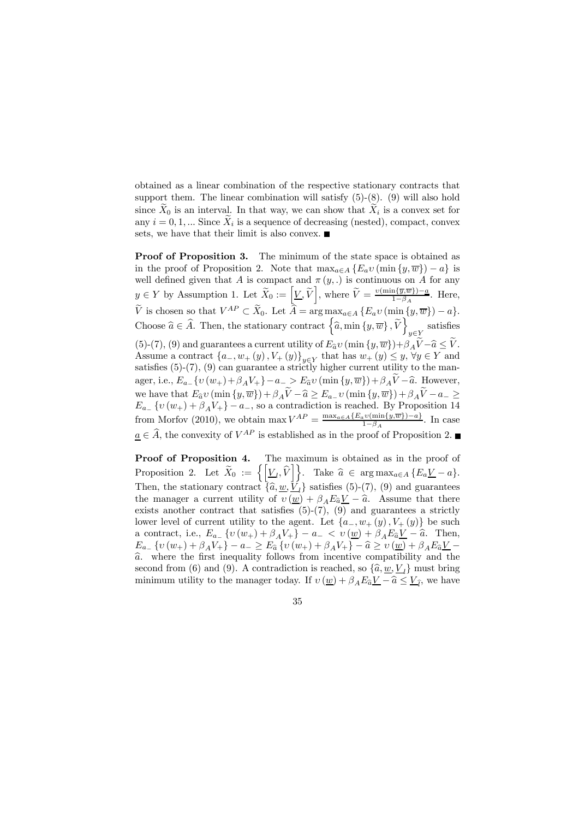obtained as a linear combination of the respective stationary contracts that support them. The linear combination will satisfy  $(5)-(8)$ .  $(9)$  will also hold since  $X_0$  is an interval. In that way, we can show that  $X_i$  is a convex set for any  $i = 0, 1, ...$  Since  $\widetilde{X}_i$  is a sequence of decreasing (nested), compact, convex sets, we have that their limit is also convex.  $\blacksquare$ 

Proof of Proposition 3. The minimum of the state space is obtained as in the proof of Proposition 2. Note that  $\max_{a \in A} \{E_a v(\min\{y,\overline{w}\}) - a\}$  is well defined given that A is compact and  $\pi(y,.)$  is continuous on A for any  $y \in Y$  by Assumption 1. Let  $\widetilde{X}_0 := \left[ \underline{V}, \widetilde{V} \right]$ , where  $\widetilde{V} = \frac{\nu(\min\{\overline{y}, \overline{w}\}) - a}{1 - \beta_A}$ . Here, V is chosen so that  $V^{AP} \subset X_0$ . Let  $\hat{A} = \arg \max_{a \in A} \{E_a v(\min_{a \in A} \{y, \overline{w}\}) - a\}.$ Choose  $\widehat{a} \in \widehat{A}$ . Then, the stationary contract  $\left\{ \widehat{a}$ , min  $\left\{ y, \overline{w} \right\}$ ,  $\widetilde{V}$  $y \in Y$ satisfies (5)-(7), (9) and guarantees a current utility of  $E_{\hat{a}}v$  (min  $\{y,\overline{w}\}$ )+ $\beta_A\widetilde{V}-\widehat{a} \leq \widetilde{V}$ . Assume a contract  $\{a_-, w_+(y), V_+(y)\}_{y \in Y}$  that has  $w_+(y) \leq y, \forall y \in Y$  and satisfies (5)-(7), (9) can guarantee a strictly higher current utility to the manager, i.e.,  $E_{a-} \{ v (w_+) + \beta_A V_+ \} - a_- > E_{\hat{a}} v (\min \{ y, \overline{w} \}) + \beta_A \tilde{V} - \hat{a}$ . However, we have that  $E_a v$  (min  $\{y, \overline{w}\}\ + \beta_A V - \hat{a} \ge E_a - v$  (min  $\{y, \overline{w}\}\ + \beta_A V - a_- \ge E_a$ ) for proposition 14  $E_{a}$  { $v(w_{+}) + \beta_{A}V_{+}$ } –  $a_{-}$ , so a contradiction is reached. By Proposition 14 from Morfov (2010), we obtain  $\max V^{AP} = \frac{\max_{a \in A} \{E_a v(\min\{y,\overline{w}\})-a\}}{1-\beta_A}$ . In case  $a \in \hat{A}$ , the convexity of  $V^{AP}$  is established as in the proof of Proposition 2.

Proof of Proposition 4. The maximum is obtained as in the proof of Proposition 2. Let  $\widetilde{X}_0 := \left\{ \left[ \underline{V}_l, \widehat{V} \right] \right\}$ . Take  $\widehat{a} \in \arg \max_{a \in A} \left\{ \widetilde{E_a V} - a \right\}$ . Then, the stationary contract  $\{\hat{a}, \underline{w}, \underline{V}_l\}$  satisfies (5)-(7), (9) and guarantees the manager a current utility of  $v(\underline{w}) + \beta_A E_{\hat{a}} V - \hat{a}$ . Assume that there exists another contract that satisfies  $(5)-(7)$ ,  $(9)$  and guarantees a strictly lower level of current utility to the agent. Let  $\{a_-, w_+(y), V_+(y)\}$  be such a contract, i.e.,  $E_{a}$ ,  $\{v(w_+) + \beta_A V_+\}$  –  $a$ ,  $\langle v(w_+) + \beta_A E_a V_-\rangle$   $\rightarrow$  Then,  $E_{a-} \{ v (w_+) + \beta_A V_+ \} - a_- \geq E_{\hat{a}} \{ v (w_+) + \beta_A V_+ \} - \hat{a} \geq v (\underline{w}) + \beta_A E_{\hat{a}} V_ \widehat{a}$ . where the first inequality follows from incentive compatibility and the second from (6) and (9). A contradiction is reached, so  $\{\hat{a}, \underline{w}, \underline{V}_l\}$  must bring minimum utility to the manager today. If  $v(\underline{w}) + \beta_A E_{\widehat{a}} V - \widehat{a} \leq V_{\widehat{I}}$ , we have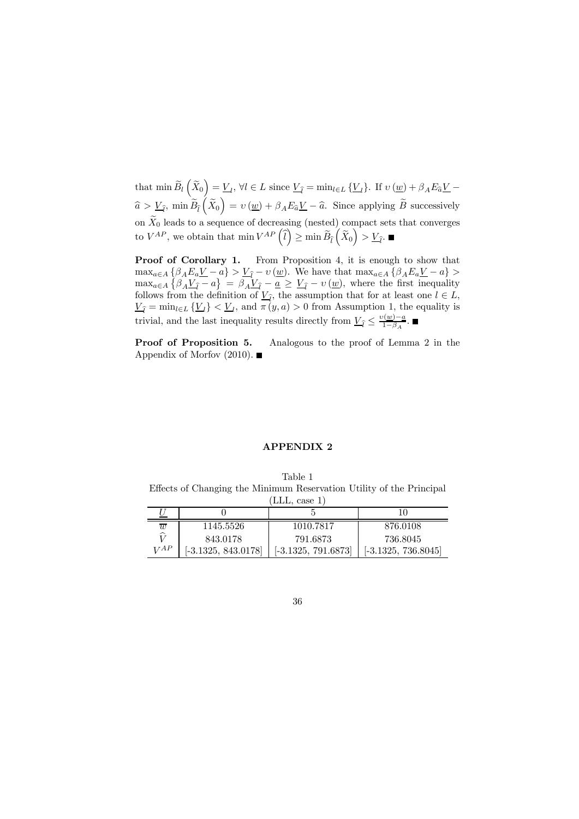that  $\min \widetilde{B}_l(\widetilde{X}_0) = \underline{V}_l, \forall l \in L$  since  $\underline{V}_{\widehat{l}} = \min_{l \in L} {\{\underline{V}_l\}}$ . If  $v(\underline{w}) + \beta_A E_{\widehat{a}} \underline{V}$  $\widehat{a} > \underline{V}_{\widehat{I}}, \min \widetilde{B}_{\widehat{I}}\left(\widetilde{X}_0\right) = \nu\left(\underline{w}\right) + \beta_A E_{\widehat{a}}\underline{V} - \widehat{a}.$  Since applying  $\widetilde{B}$  successively on  $X_0$  leads to a sequence of decreasing (nested) compact sets that converges to  $V^{AP}$ , we obtain that  $\min V^{AP}(\hat{l}) \geq \min \widetilde{B}_{\hat{l}}(\widetilde{X}_0) > \underline{V}_{\hat{l}}$ .

Proof of Corollary 1. From Proposition 4, it is enough to show that  $\max_{a \in A} \left\{ \beta_A E_a \underline{V} - a \right\} > \underline{V}_{\hat{l}} - v \left( \underline{w} \right).$  We have that  $\max_{a \in A} \left\{ \beta_A E_a \underline{V} - a \right\} >$  $\max_{a \in A} \left\{ \beta_A \underline{V}_{\hat{i}} - a \right\} = \beta_A \underline{V}_{\hat{i}} - \underline{a} \ge \underline{V}_{\hat{i}} - v \left( \underline{w} \right)$ , where the first inequality follows from the definition of  $\underline{V}_{\hat{l}}$ , the assumption that for at least one  $l \in L$ ,  $\underline{V}_{\hat{l}} = \min_{l \in L} {\{\underline{V}_l\}} < \underline{V}_l$ , and  $\pi(y, a) > 0$  from Assumption 1, the equality is trivial, and the last inequality results directly from  $\underline{V}_{\hat{l}} \leq \frac{v(\underline{w}) - a}{1 - \beta_A}$ .

Proof of Proposition 5. Analogous to the proof of Lemma 2 in the Appendix of Morfov  $(2010)$ .

#### APPENDIX 2

Table 1 Effects of Changing the Minimum Reservation Utility of the Principal  $(LLL)$  case 1)

| $\overline{w}$ | 1145.5526             | 1010.7817             | 876.0108              |  |  |  |  |  |  |  |
|----------------|-----------------------|-----------------------|-----------------------|--|--|--|--|--|--|--|
| ੵ              | 843.0178              | 791.6873              | 736.8045              |  |  |  |  |  |  |  |
| VAP            | $[-3.1325, 843.0178]$ | $[-3.1325, 791.6873]$ | $[-3.1325, 736.8045]$ |  |  |  |  |  |  |  |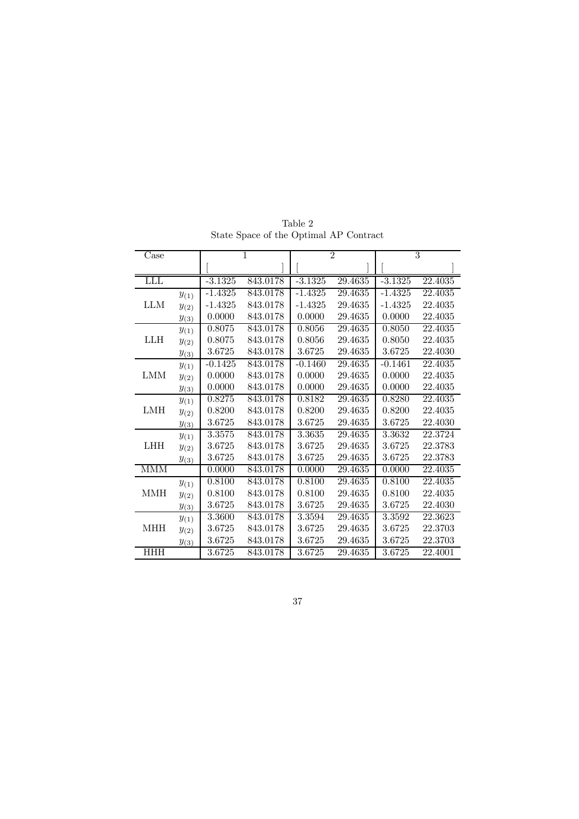| Case       |           | 1         |          | $\overline{2}$ |         | $\overline{3}$ |         |
|------------|-----------|-----------|----------|----------------|---------|----------------|---------|
|            |           |           |          |                |         |                |         |
| <b>LLL</b> |           | $-3.1325$ | 843.0178 | $-3.1325$      | 29.4635 | $-3.1325$      | 22.4035 |
| <b>LLM</b> | $y_{(1)}$ | $-1.4325$ | 843.0178 | $-1.4325$      | 29.4635 | $-1.4325$      | 22.4035 |
|            | $y_{(2)}$ | $-1.4325$ | 843.0178 | $-1.4325$      | 29.4635 | $-1.4325$      | 22.4035 |
|            | $y_{(3)}$ | 0.0000    | 843.0178 | 0.0000         | 29.4635 | 0.0000         | 22.4035 |
| <b>LLH</b> | $y_{(1)}$ | 0.8075    | 843.0178 | 0.8056         | 29.4635 | 0.8050         | 22.4035 |
|            | $y_{(2)}$ | 0.8075    | 843.0178 | 0.8056         | 29.4635 | 0.8050         | 22.4035 |
|            | $y_{(3)}$ | 3.6725    | 843.0178 | 3.6725         | 29.4635 | 3.6725         | 22.4030 |
| <b>LMM</b> | $y_{(1)}$ | $-0.1425$ | 843.0178 | $-0.1460$      | 29.4635 | $-0.1461$      | 22.4035 |
|            | $y_{(2)}$ | 0.0000    | 843.0178 | 0.0000         | 29.4635 | 0.0000         | 22.4035 |
|            | $y_{(3)}$ | 0.0000    | 843.0178 | 0.0000         | 29.4635 | 0.0000         | 22.4035 |
| LMH        | $y_{(1)}$ | 0.8275    | 843.0178 | 0.8182         | 29.4635 | 0.8280         | 22.4035 |
|            | $y_{(2)}$ | 0.8200    | 843.0178 | 0.8200         | 29.4635 | 0.8200         | 22.4035 |
|            | $y_{(3)}$ | 3.6725    | 843.0178 | 3.6725         | 29.4635 | 3.6725         | 22.4030 |
| <b>LHH</b> | $y_{(1)}$ | 3.3575    | 843.0178 | 3.3635         | 29.4635 | 3.3632         | 22.3724 |
|            | $y_{(2)}$ | 3.6725    | 843.0178 | 3.6725         | 29.4635 | 3.6725         | 22.3783 |
|            | $y_{(3)}$ | 3.6725    | 843.0178 | 3.6725         | 29.4635 | 3.6725         | 22.3783 |
| <b>MMM</b> |           | 0.0000    | 843.0178 | 0.0000         | 29.4635 | 0.0000         | 22.4035 |
| <b>MMH</b> | $y_{(1)}$ | 0.8100    | 843.0178 | 0.8100         | 29.4635 | 0.8100         | 22.4035 |
|            | $y_{(2)}$ | 0.8100    | 843.0178 | 0.8100         | 29.4635 | 0.8100         | 22.4035 |
|            | $y_{(3)}$ | 3.6725    | 843.0178 | 3.6725         | 29.4635 | 3.6725         | 22.4030 |
| MHH        | $y_{(1)}$ | 3.3600    | 843.0178 | 3.3594         | 29.4635 | 3.3592         | 22.3623 |
|            | $y_{(2)}$ | 3.6725    | 843.0178 | 3.6725         | 29.4635 | 3.6725         | 22.3703 |
|            | $y_{(3)}$ | 3.6725    | 843.0178 | 3.6725         | 29.4635 | 3.6725         | 22.3703 |
| <b>HHH</b> |           | 3.6725    | 843.0178 | 3.6725         | 29.4635 | 3.6725         | 22.4001 |

Table 2 State Space of the Optimal AP Contract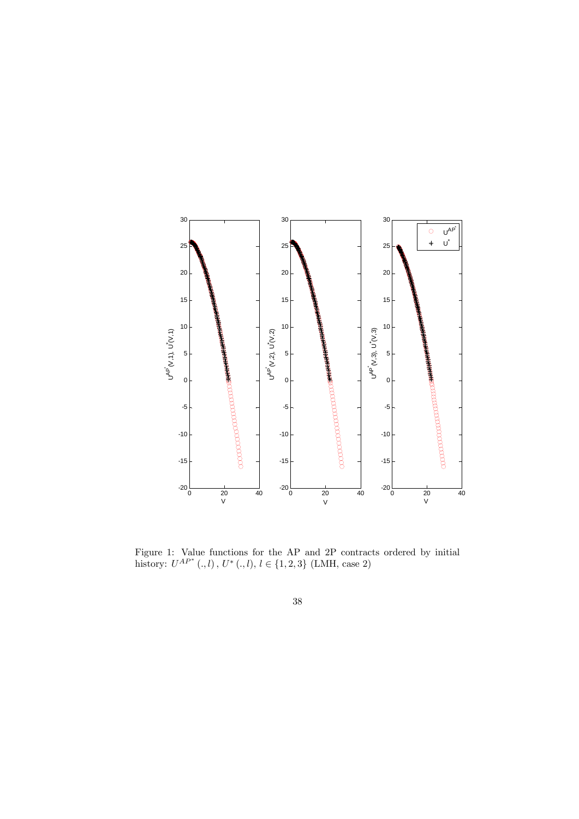

Figure 1: Value functions for the AP and 2P contracts ordered by initial history:  $U^{AP^*}$  (., l),  $U^*$  (., l),  $l \in \{1, 2, 3\}$  (LMH, case 2)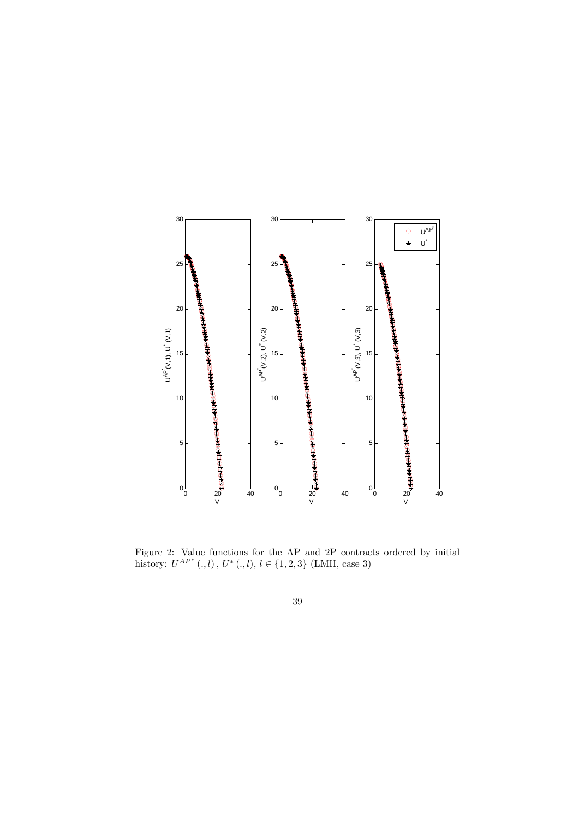

Figure 2: Value functions for the AP and 2P contracts ordered by initial history:  $U^{AP^*}$  (., l),  $U^*$  (., l),  $l \in \{1, 2, 3\}$  (LMH, case 3)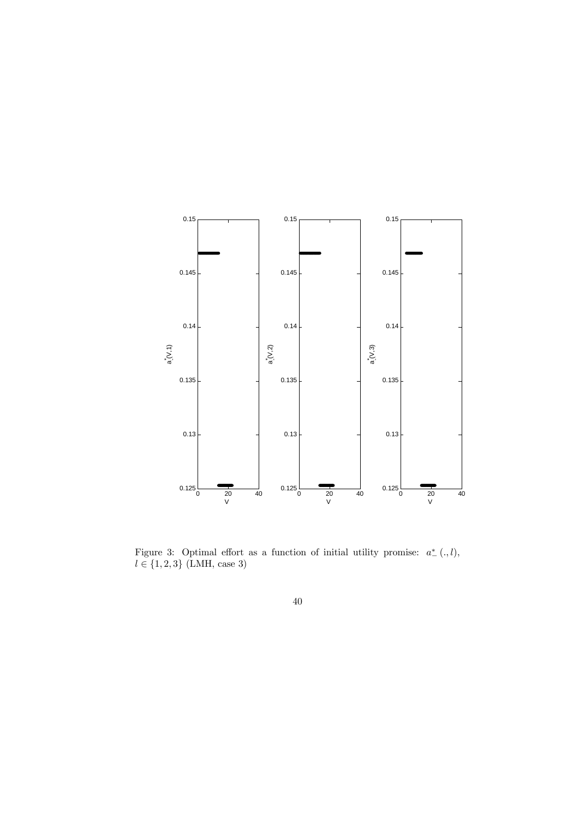

Figure 3: Optimal effort as a function of initial utility promise:  $a^*_{-}(\cdot, l)$ ,  $l \in \{1, 2, 3\}$  (LMH, case 3)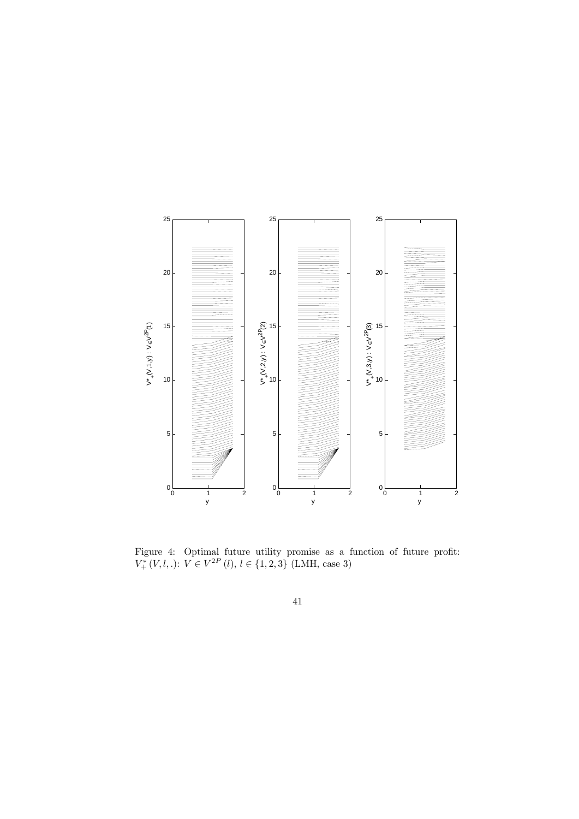

Figure 4: Optimal future utility promise as a function of future profit:  $V^*_{+}(V, l, .): V \in V^{2P}(l), l \in \{1, 2, 3\}$  (LMH, case 3)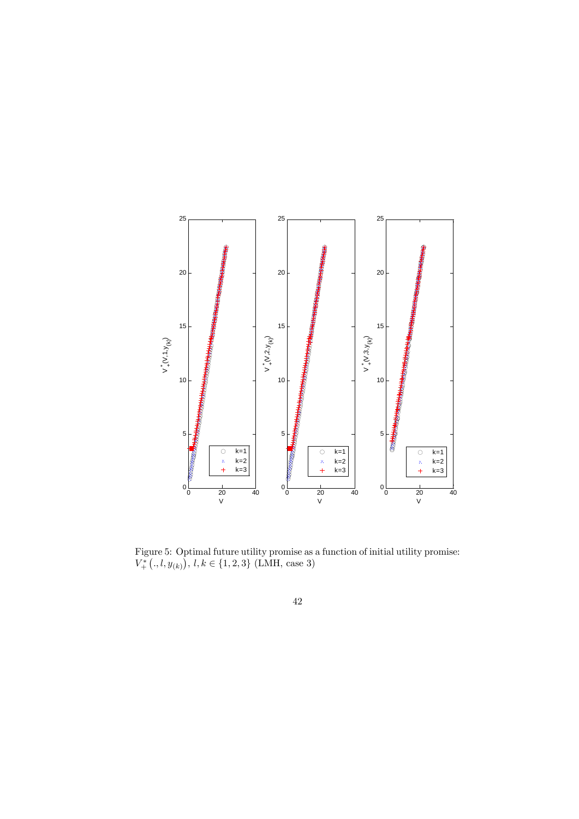![](_page_41_Figure_0.jpeg)

Figure 5: Optimal future utility promise as a function of initial utility promise:  $V^*_{+}(., l, y_{(k)})$ ,  $l, k \in \{1, 2, 3\}$  (LMH, case 3)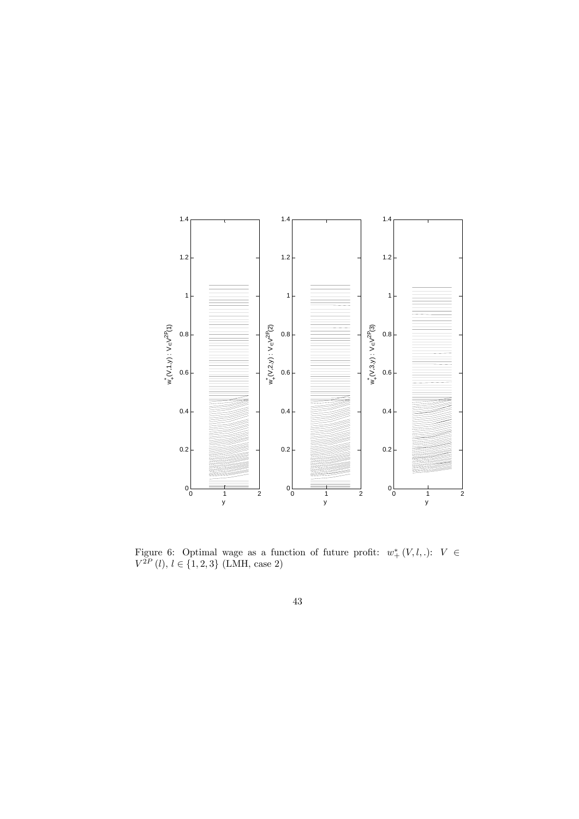![](_page_42_Figure_0.jpeg)

Figure 6: Optimal wage as a function of future profit:  $w^*_+(V,l,.)$ :  $V \in$  $V^{2P}$  (l),  $l \in \{1, 2, 3\}$  (LMH, case 2)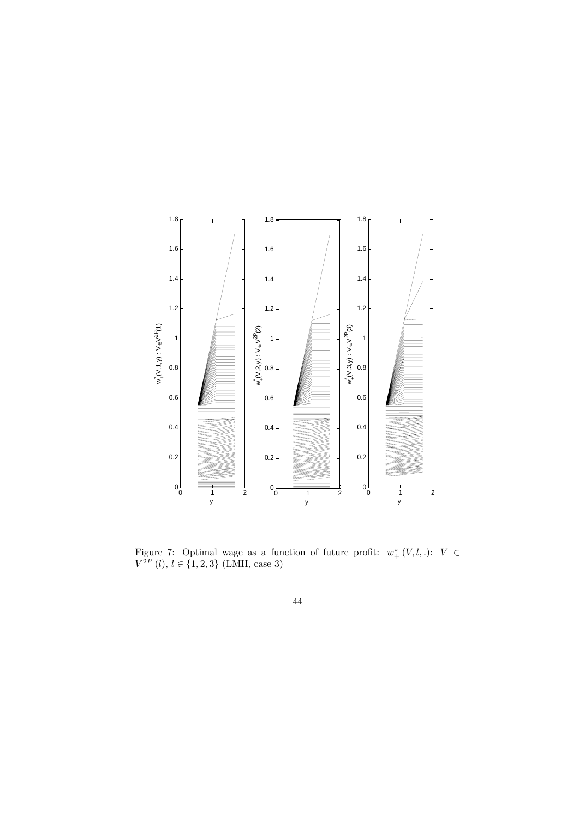![](_page_43_Figure_0.jpeg)

Figure 7: Optimal wage as a function of future profit:  $w^*_+(V,l,.)$ :  $V \in$  $V^{2P}$  (l),  $l \in \{1, 2, 3\}$  (LMH, case 3)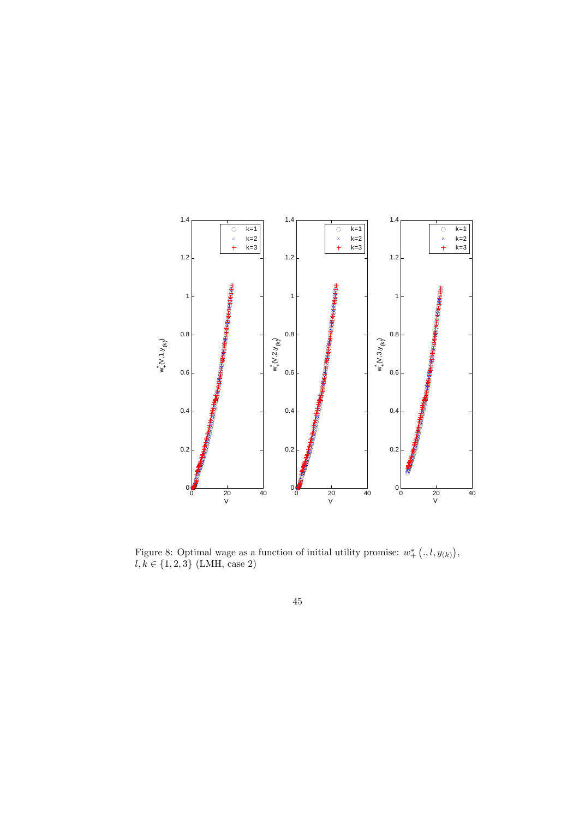![](_page_44_Figure_0.jpeg)

Figure 8: Optimal wage as a function of initial utility promise:  $w^*_{+} (., l, y_{(k)}),$  $l, k \in \{1, 2, 3\}$  (LMH, case 2)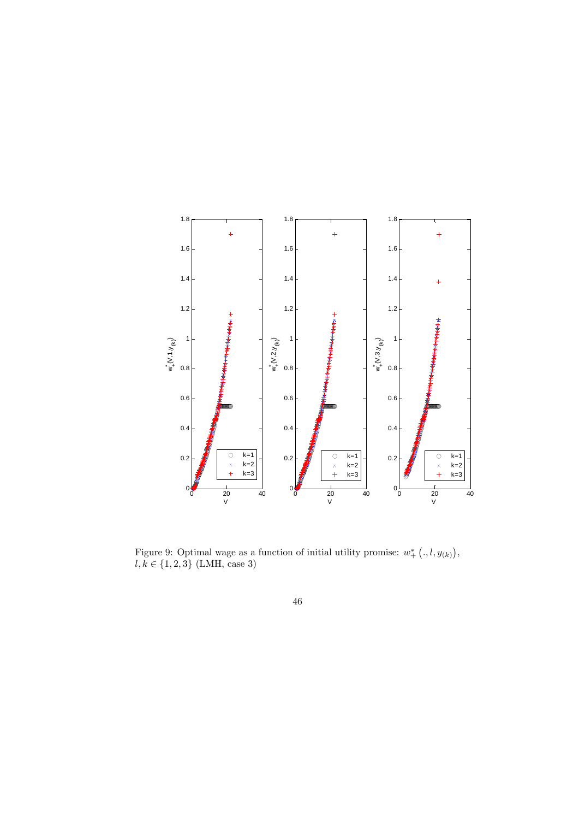![](_page_45_Figure_0.jpeg)

Figure 9: Optimal wage as a function of initial utility promise:  $w^*_+$   $(.,l, y_{(k)})$ ,  $l, k \in \{1, 2, 3\}$  (LMH, case 3)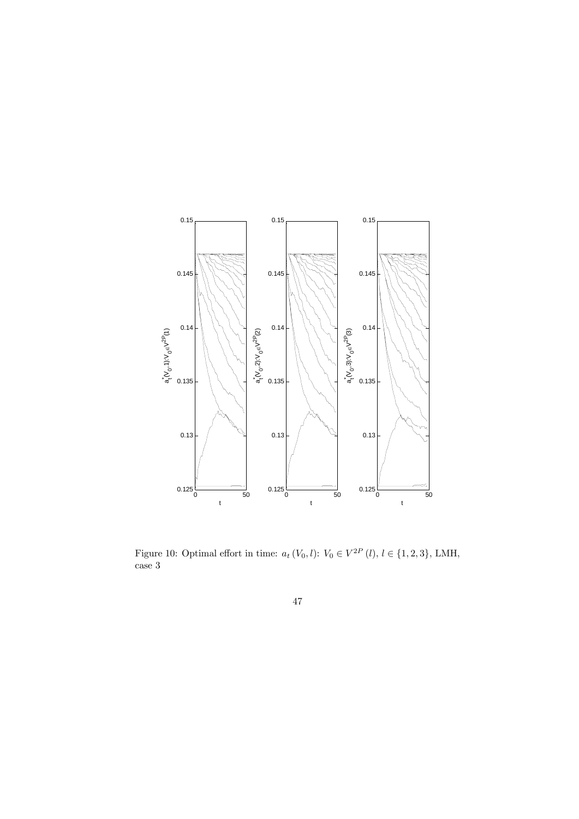![](_page_46_Figure_0.jpeg)

Figure 10: Optimal effort in time:  $a_t(V_0, l)$ :  $V_0 \in V^{2P}(l)$ ,  $l \in \{1, 2, 3\}$ , LMH, case 3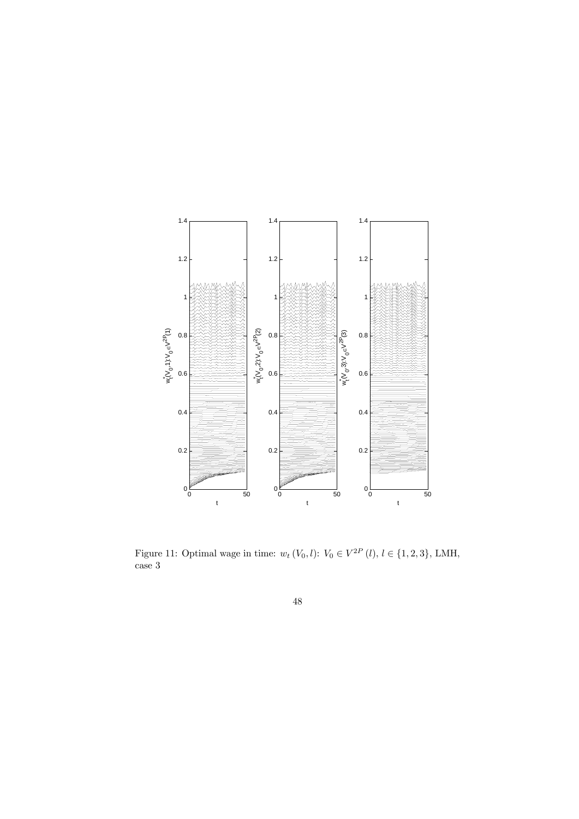![](_page_47_Figure_0.jpeg)

Figure 11: Optimal wage in time:  $w_t$   $(V_0, l)$ :  $V_0 \in V^{2P}(l)$ ,  $l \in \{1, 2, 3\}$ , LMH, case 3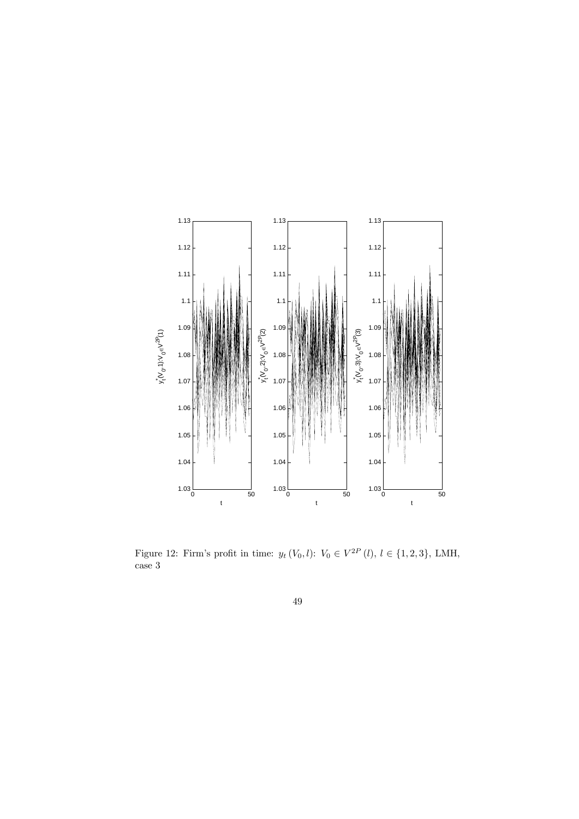![](_page_48_Figure_0.jpeg)

Figure 12: Firm's profit in time:  $y_t(V_0, l)$ :  $V_0 \in V^{2P}(l)$ ,  $l \in \{1, 2, 3\}$ , LMH, case 3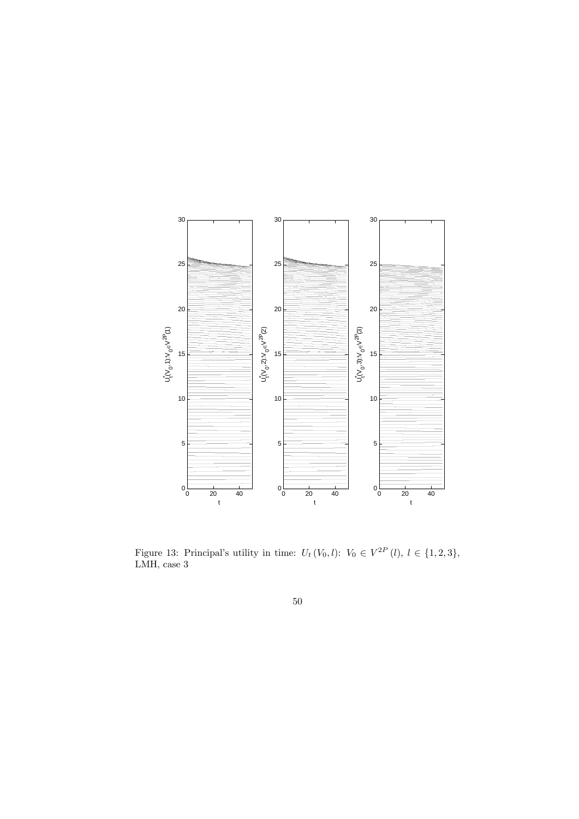![](_page_49_Figure_0.jpeg)

Figure 13: Principal's utility in time:  $U_t(V_0, l)$ :  $V_0 \in V^{2P}(l), l \in \{1, 2, 3\},\$ LMH, case 3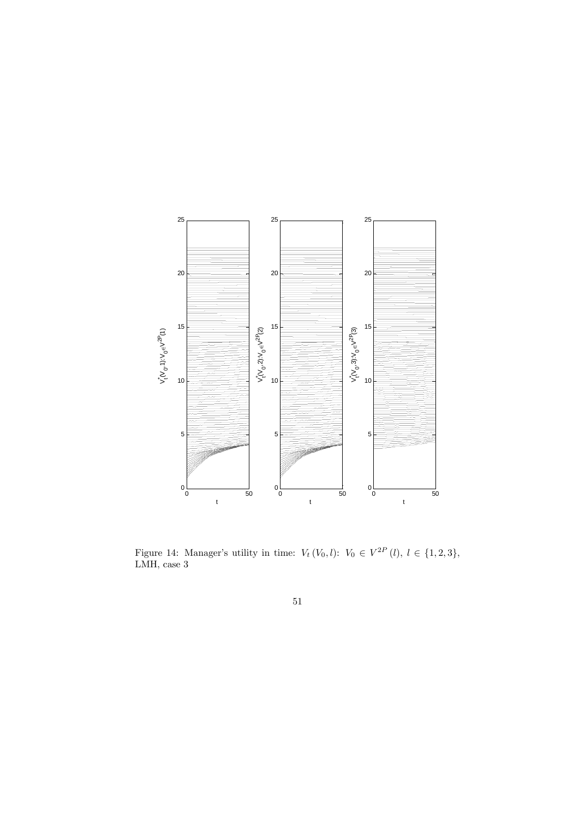![](_page_50_Figure_0.jpeg)

Figure 14: Manager's utility in time:  $V_t(V_0, l)$ :  $V_0 \in V^{2P}(l), l \in \{1, 2, 3\},$ LMH, case 3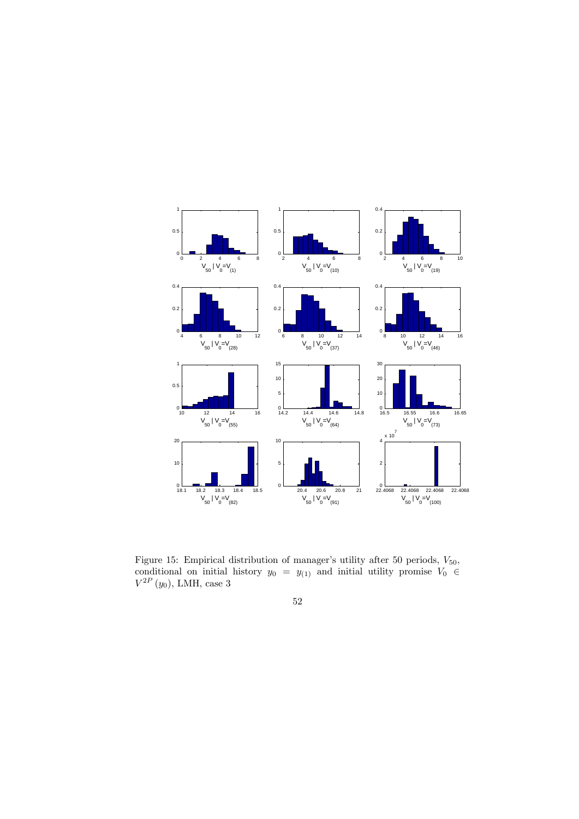![](_page_51_Figure_0.jpeg)

Figure 15: Empirical distribution of manager's utility after 50 periods,  $V_{50}$ , conditional on initial history  $y_0 = y_{(1)}$  and initial utility promise  $V_0 \in$  $V^{2P} (y_0)$ , LMH, case 3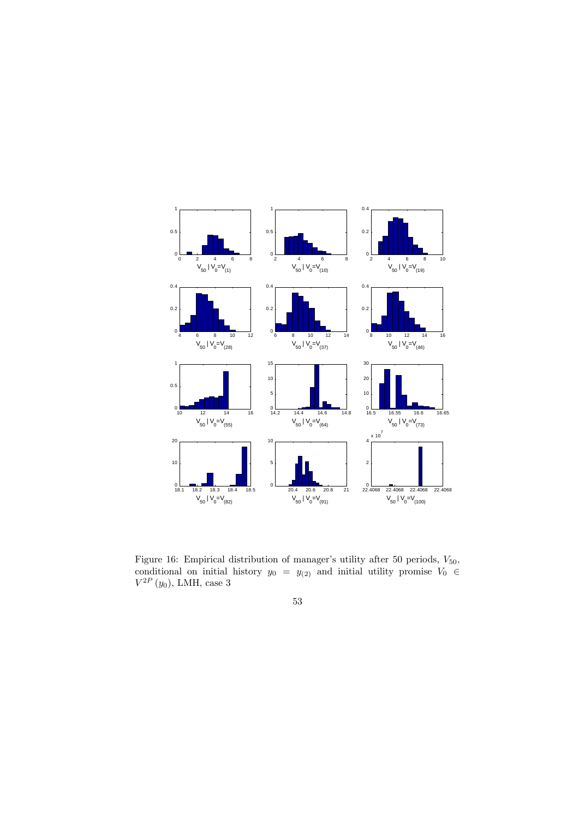![](_page_52_Figure_0.jpeg)

Figure 16: Empirical distribution of manager's utility after 50 periods,  $V_{50}$ , conditional on initial history  $y_0 = y_{(2)}$  and initial utility promise  $V_0 \in \mathbb{R}^n$  $V^{2P} (y_0)$ , LMH, case 3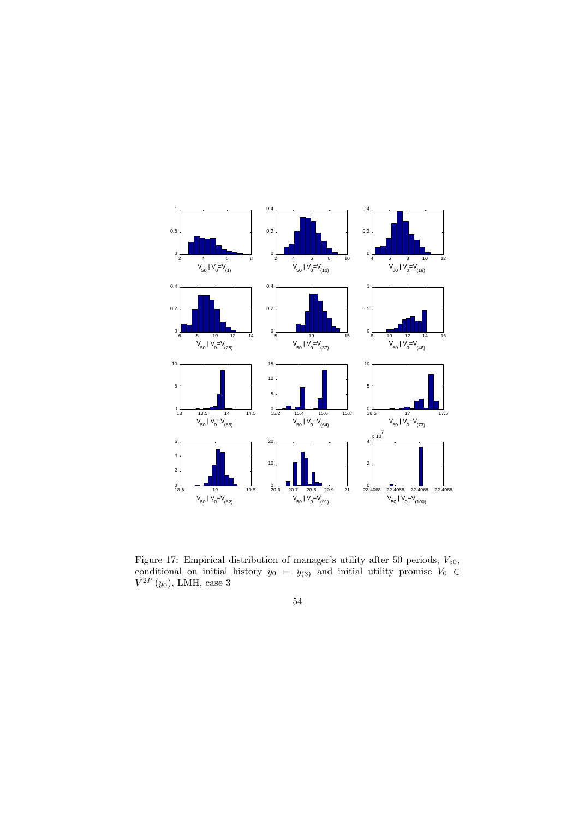![](_page_53_Figure_0.jpeg)

Figure 17: Empirical distribution of manager's utility after 50 periods,  $V_{50}$ , conditional on initial history  $y_0 = y_{(3)}$  and initial utility promise  $V_0 \in$  $V^{2P} (y_0)$ , LMH, case 3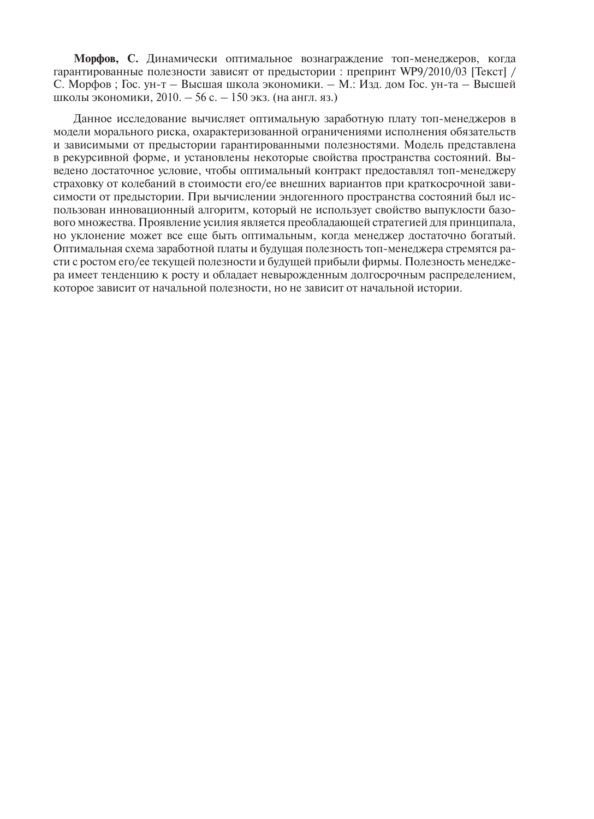**Морфов, С.** Динамически оптимальное вознаграждение топ-менеджеров, когда гарантированные полезности зависят от предыстории : препринт WP9/2010/03 [Текст] / С. Морфов ; Гос. ун-т – Высшая школа экономики. – М.: Изд. дом Гос. ун-та – Высшей школы экономики, 2010. – 56 с. – 150 экз. (на англ. яз.)

Данное исследование вычисляет оптимальную заработную плату топ-менеджеров в модели морального риска, охарактеризованной ограничениями исполнения обязательств и зависимыми от предыстории гарантированными полезностями. Модель представлена в рекурсивной форме, и установлены некоторые свойства пространства состояний. Выведено достаточное условие, чтобы оптимальный контракт предоставлял топ-менеджеру страховку от колебаний в стоимости его/ее внешних вариантов при краткосрочной зависимости от предыстории. При вычислении эндогенного пространства состояний был использован инновационный алгоритм, который не использует свойство выпуклости базового множества. Проявление усилия является преобладающей стратегией для принципала, но уклонение может все еще быть оптимальным, когда менеджер достаточно богатый. Оптимальная схема заработной платы и будущая полезность топ-менеджера стремятся расти с ростом его/ее текущей полезности и будущей прибыли фирмы. Полезность менеджера имеет тенденцию к росту и обладает невырожденным долгосрочным распределением, которое зависит от начальной полезности, но не зависит от начальной истории.